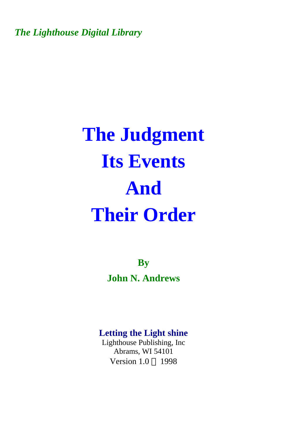*The Lighthouse Digital Library* 

# **The Judgment Its Events And Their Order**

**By John N. Andrews** 

#### **Letting the Light shine**

Lighthouse Publishing, Inc Abrams, WI 54101 Version  $1.0 \odot 1998$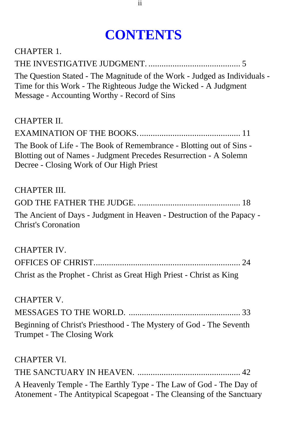# **CONTENTS**

| <b>CHAPTER 1.</b>                                                                                                                                                                             |
|-----------------------------------------------------------------------------------------------------------------------------------------------------------------------------------------------|
|                                                                                                                                                                                               |
| The Question Stated - The Magnitude of the Work - Judged as Individuals -<br>Time for this Work - The Righteous Judge the Wicked - A Judgment<br>Message - Accounting Worthy - Record of Sins |
| <b>CHAPTER II.</b>                                                                                                                                                                            |
|                                                                                                                                                                                               |
| The Book of Life - The Book of Remembrance - Blotting out of Sins -<br>Blotting out of Names - Judgment Precedes Resurrection - A Solemn<br>Decree - Closing Work of Our High Priest          |
| <b>CHAPTER III.</b>                                                                                                                                                                           |
|                                                                                                                                                                                               |
| The Ancient of Days - Judgment in Heaven - Destruction of the Papacy -<br><b>Christ's Coronation</b>                                                                                          |
| <b>CHAPTER IV.</b>                                                                                                                                                                            |
|                                                                                                                                                                                               |
| Christ as the Prophet - Christ as Great High Priest - Christ as King                                                                                                                          |
| <b>CHAPTER V.</b>                                                                                                                                                                             |
|                                                                                                                                                                                               |
| Beginning of Christ's Priesthood - The Mystery of God - The Seventh<br>Trumpet - The Closing Work                                                                                             |
| <b>CHAPTER VI.</b>                                                                                                                                                                            |
|                                                                                                                                                                                               |
| A Heavenly Temple - The Earthly Type - The Law of God - The Day of<br>Atonement - The Antitypical Scapegoat - The Cleansing of the Sanctuary                                                  |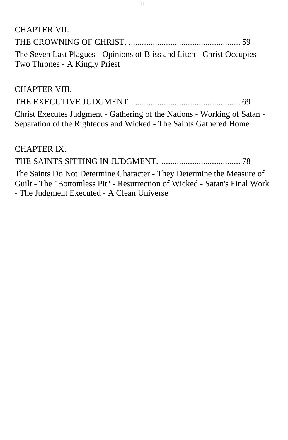| CHAPTER VII.                                                           |  |
|------------------------------------------------------------------------|--|
|                                                                        |  |
| The Seven Last Plagues - Opinions of Bliss and Litch - Christ Occupies |  |
| Two Thrones - A Kingly Priest                                          |  |

#### CHAPTER VIII.

|--|--|

[Christ Executes Judgment - Gathering of the Nations - Working of Satan -](#page-68-0) Separation of the Righteous and Wicked - The Saints Gathered Home

CHAPTER IX.

THE SAINTS SITTING IN JUDGMENT. .................................... 78

The Saints Do Not Determine Character - They Determine the Measure of [Guilt - The "Bottomless Pit" - Resurrection of Wicked - Satan's Final Work](#page-77-0) - The Judgment Executed - A Clean Universe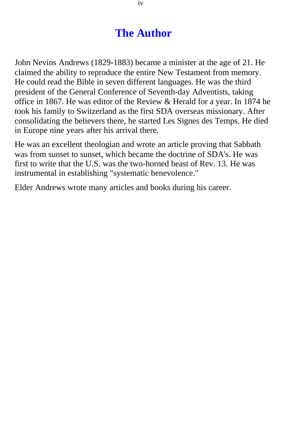### **The Author**

John Nevins Andrews (1829-1883) became a minister at the age of 21. He claimed the ability to reproduce the entire New Testament from memory. He could read the Bible in seven different languages. He was the third president of the General Conference of Seventh-day Adventists, taking office in 1867. He was editor of the Review & Herald for a year. In 1874 he took his family to Switzerland as the first SDA overseas missionary. After consolidating the believers there, he started Les Signes des Temps. He died in Europe nine years after his arrival there.

He was an excellent theologian and wrote an article proving that Sabbath was from sunset to sunset, which became the doctrine of SDA's. He was first to write that the U.S. was the two-horned beast of Rev. 13. He was instrumental in establishing "systematic benevolence."

Elder Andrews wrote many articles and books during his career.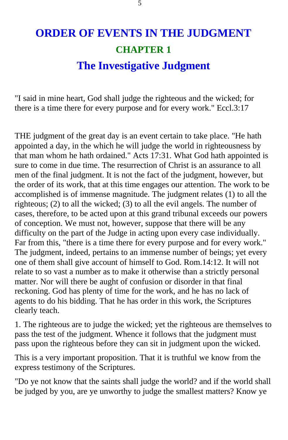# <span id="page-4-0"></span>**ORDER OF EVENTS IN THE JUDGMENT CHAPTER 1 The Investigative Judgment**

"I said in mine heart, God shall judge the righteous and the wicked; for there is a time there for every purpose and for every work." Eccl.3:17

THE judgment of the great day is an event certain to take place. "He hath appointed a day, in the which he will judge the world in righteousness by that man whom he hath ordained." Acts 17:31. What God hath appointed is sure to come in due time. The resurrection of Christ is an assurance to all men of the final judgment. It is not the fact of the judgment, however, but the order of its work, that at this time engages our attention. The work to be accomplished is of immense magnitude. The judgment relates (1) to all the righteous; (2) to all the wicked; (3) to all the evil angels. The number of cases, therefore, to be acted upon at this grand tribunal exceeds our powers of conception. We must not, however, suppose that there will be any difficulty on the part of the Judge in acting upon every case individually. Far from this, "there is a time there for every purpose and for every work." The judgment, indeed, pertains to an immense number of beings; yet every one of them shall give account of himself to God. Rom.14:12. It will not relate to so vast a number as to make it otherwise than a strictly personal matter. Nor will there be aught of confusion or disorder in that final reckoning. God has plenty of time for the work, and he has no lack of agents to do his bidding. That he has order in this work, the Scriptures clearly teach.

1. The righteous are to judge the wicked; yet the righteous are themselves to pass the test of the judgment. Whence it follows that the judgment must pass upon the righteous before they can sit in judgment upon the wicked.

This is a very important proposition. That it is truthful we know from the express testimony of the Scriptures.

"Do ye not know that the saints shall judge the world? and if the world shall be judged by you, are ye unworthy to judge the smallest matters? Know ye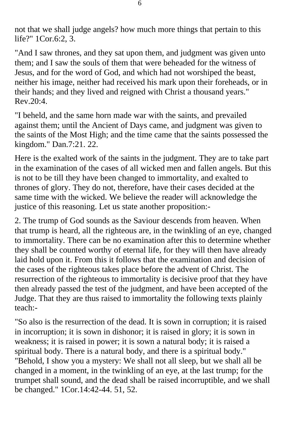not that we shall judge angels? how much more things that pertain to this life?" 1Cor.6:2, 3.

"And I saw thrones, and they sat upon them, and judgment was given unto them; and I saw the souls of them that were beheaded for the witness of Jesus, and for the word of God, and which had not worshiped the beast, neither his image, neither had received his mark upon their foreheads, or in their hands; and they lived and reigned with Christ a thousand years."  $Rev.20:4$ .

"I beheld, and the same horn made war with the saints, and prevailed against them; until the Ancient of Days came, and judgment was given to the saints of the Most High; and the time came that the saints possessed the kingdom." Dan.7:21. 22.

Here is the exalted work of the saints in the judgment. They are to take part in the examination of the cases of all wicked men and fallen angels. But this is not to be till they have been changed to immortality, and exalted to thrones of glory. They do not, therefore, have their cases decided at the same time with the wicked. We believe the reader will acknowledge the justice of this reasoning. Let us state another proposition:-

2. The trump of God sounds as the Saviour descends from heaven. When that trump is heard, all the righteous are, in the twinkling of an eye, changed to immortality. There can be no examination after this to determine whether they shall be counted worthy of eternal life, for they will then have already laid hold upon it. From this it follows that the examination and decision of the cases of the righteous takes place before the advent of Christ. The resurrection of the righteous to immortality is decisive proof that they have then already passed the test of the judgment, and have been accepted of the Judge. That they are thus raised to immortality the following texts plainly teach:-

"So also is the resurrection of the dead. It is sown in corruption; it is raised in incorruption; it is sown in dishonor; it is raised in glory; it is sown in weakness; it is raised in power; it is sown a natural body; it is raised a spiritual body. There is a natural body, and there is a spiritual body." "Behold, I show you a mystery: We shall not all sleep, but we shall all be changed in a moment, in the twinkling of an eye, at the last trump; for the trumpet shall sound, and the dead shall be raised incorruptible, and we shall be changed." 1Cor.14:42-44. 51, 52.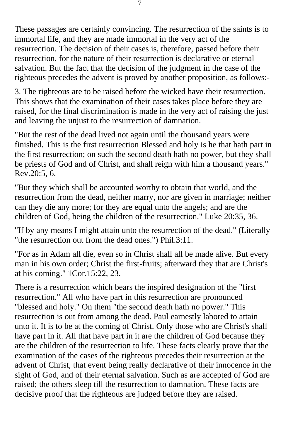These passages are certainly convincing. The resurrection of the saints is to immortal life, and they are made immortal in the very act of the resurrection. The decision of their cases is, therefore, passed before their resurrection, for the nature of their resurrection is declarative or eternal salvation. But the fact that the decision of the judgment in the case of the righteous precedes the advent is proved by another proposition, as follows:-

3. The righteous are to be raised before the wicked have their resurrection. This shows that the examination of their cases takes place before they are raised, for the final discrimination is made in the very act of raising the just and leaving the unjust to the resurrection of damnation.

"But the rest of the dead lived not again until the thousand years were finished. This is the first resurrection Blessed and holy is he that hath part in the first resurrection; on such the second death hath no power, but they shall be priests of God and of Christ, and shall reign with him a thousand years." Rev.20:5, 6.

"But they which shall be accounted worthy to obtain that world, and the resurrection from the dead, neither marry, nor are given in marriage; neither can they die any more; for they are equal unto the angels; and are the children of God, being the children of the resurrection." Luke 20:35, 36.

"If by any means I might attain unto the resurrection of the dead." (Literally "the resurrection out from the dead ones.") Phil.3:11.

"For as in Adam all die, even so in Christ shall all be made alive. But every man in his own order; Christ the first-fruits; afterward they that are Christ's at his coming." 1Cor.15:22, 23.

There is a resurrection which bears the inspired designation of the "first resurrection." All who have part in this resurrection are pronounced "blessed and holy." On them "the second death hath no power." This resurrection is out from among the dead. Paul earnestly labored to attain unto it. It is to be at the coming of Christ. Only those who are Christ's shall have part in it. All that have part in it are the children of God because they are the children of the resurrection to life. These facts clearly prove that the examination of the cases of the righteous precedes their resurrection at the advent of Christ, that event being really declarative of their innocence in the sight of God, and of their eternal salvation. Such as are accepted of God are raised; the others sleep till the resurrection to damnation. These facts are decisive proof that the righteous are judged before they are raised.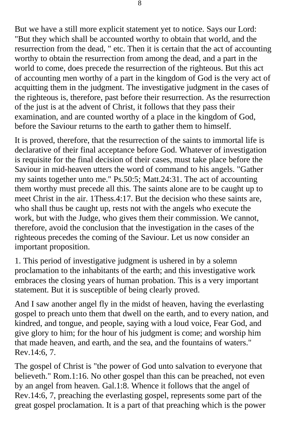But we have a still more explicit statement yet to notice. Says our Lord: "But they which shall be accounted worthy to obtain that world, and the resurrection from the dead, " etc. Then it is certain that the act of accounting worthy to obtain the resurrection from among the dead, and a part in the world to come, does precede the resurrection of the righteous. But this act of accounting men worthy of a part in the kingdom of God is the very act of acquitting them in the judgment. The investigative judgment in the cases of the righteous is, therefore, past before their resurrection. As the resurrection of the just is at the advent of Christ, it follows that they pass their examination, and are counted worthy of a place in the kingdom of God, before the Saviour returns to the earth to gather them to himself.

It is proved, therefore, that the resurrection of the saints to immortal life is declarative of their final acceptance before God. Whatever of investigation is requisite for the final decision of their cases, must take place before the Saviour in mid-heaven utters the word of command to his angels. "Gather my saints together unto me." Ps.50:5; Matt.24:31. The act of accounting them worthy must precede all this. The saints alone are to be caught up to meet Christ in the air. 1Thess.4:17. But the decision who these saints are, who shall thus be caught up, rests not with the angels who execute the work, but with the Judge, who gives them their commission. We cannot, therefore, avoid the conclusion that the investigation in the cases of the righteous precedes the coming of the Saviour. Let us now consider an important proposition.

1. This period of investigative judgment is ushered in by a solemn proclamation to the inhabitants of the earth; and this investigative work embraces the closing years of human probation. This is a very important statement. But it is susceptible of being clearly proved.

And I saw another angel fly in the midst of heaven, having the everlasting gospel to preach unto them that dwell on the earth, and to every nation, and kindred, and tongue, and people, saying with a loud voice, Fear God, and give glory to him; for the hour of his judgment is come; and worship him that made heaven, and earth, and the sea, and the fountains of waters." Rev.14:6, 7.

The gospel of Christ is "the power of God unto salvation to everyone that believeth." Rom.1:16. No other gospel than this can be preached, not even by an angel from heaven. Gal.1:8. Whence it follows that the angel of Rev.14:6, 7, preaching the everlasting gospel, represents some part of the great gospel proclamation. It is a part of that preaching which is the power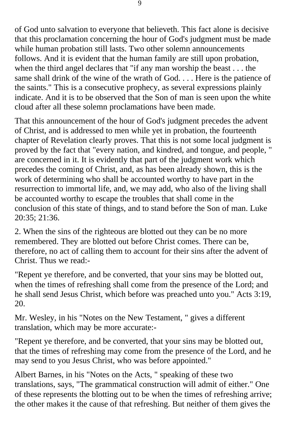of God unto salvation to everyone that believeth. This fact alone is decisive that this proclamation concerning the hour of God's judgment must be made while human probation still lasts. Two other solemn announcements follows. And it is evident that the human family are still upon probation, when the third angel declares that "if any man worship the beast . . . the same shall drink of the wine of the wrath of God. . . . Here is the patience of the saints." This is a consecutive prophecy, as several expressions plainly indicate. And it is to be observed that the Son of man is seen upon the white cloud after all these solemn proclamations have been made.

That this announcement of the hour of God's judgment precedes the advent of Christ, and is addressed to men while yet in probation, the fourteenth chapter of Revelation clearly proves. That this is not some local judgment is proved by the fact that "every nation, and kindred, and tongue, and people, " are concerned in it. It is evidently that part of the judgment work which precedes the coming of Christ, and, as has been already shown, this is the work of determining who shall be accounted worthy to have part in the resurrection to immortal life, and, we may add, who also of the living shall be accounted worthy to escape the troubles that shall come in the conclusion of this state of things, and to stand before the Son of man. Luke 20:35; 21:36.

2. When the sins of the righteous are blotted out they can be no more remembered. They are blotted out before Christ comes. There can be, therefore, no act of calling them to account for their sins after the advent of Christ. Thus we read:-

"Repent ye therefore, and be converted, that your sins may be blotted out, when the times of refreshing shall come from the presence of the Lord; and he shall send Jesus Christ, which before was preached unto you." Acts 3:19, 20.

Mr. Wesley, in his "Notes on the New Testament, " gives a different translation, which may be more accurate:-

"Repent ye therefore, and be converted, that your sins may be blotted out, that the times of refreshing may come from the presence of the Lord, and he may send to you Jesus Christ, who was before appointed."

Albert Barnes, in his "Notes on the Acts, " speaking of these two translations, says, "The grammatical construction will admit of either." One of these represents the blotting out to be when the times of refreshing arrive; the other makes it the cause of that refreshing. But neither of them gives the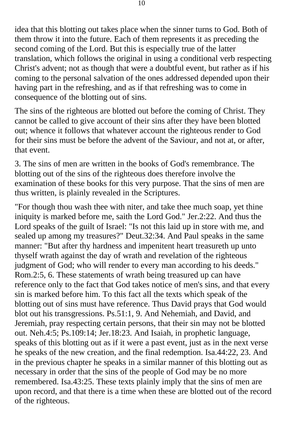idea that this blotting out takes place when the sinner turns to God. Both of them throw it into the future. Each of them represents it as preceding the second coming of the Lord. But this is especially true of the latter translation, which follows the original in using a conditional verb respecting Christ's advent; not as though that were a doubtful event, but rather as if his coming to the personal salvation of the ones addressed depended upon their having part in the refreshing, and as if that refreshing was to come in consequence of the blotting out of sins.

The sins of the righteous are blotted out before the coming of Christ. They cannot be called to give account of their sins after they have been blotted out; whence it follows that whatever account the righteous render to God for their sins must be before the advent of the Saviour, and not at, or after, that event.

3. The sins of men are written in the books of God's remembrance. The blotting out of the sins of the righteous does therefore involve the examination of these books for this very purpose. That the sins of men are thus written, is plainly revealed in the Scriptures.

"For though thou wash thee with niter, and take thee much soap, yet thine iniquity is marked before me, saith the Lord God." Jer.2:22. And thus the Lord speaks of the guilt of Israel: "Is not this laid up in store with me, and sealed up among my treasures?" Deut.32:34. And Paul speaks in the same manner: "But after thy hardness and impenitent heart treasureth up unto thyself wrath against the day of wrath and revelation of the righteous judgment of God; who will render to every man according to his deeds." Rom.2:5, 6. These statements of wrath being treasured up can have reference only to the fact that God takes notice of men's sins, and that every sin is marked before him. To this fact all the texts which speak of the blotting out of sins must have reference. Thus David prays that God would blot out his transgressions. Ps.51:1, 9. And Nehemiah, and David, and Jeremiah, pray respecting certain persons, that their sin may not be blotted out. Neh.4:5; Ps.109:14; Jer.18:23. And Isaiah, in prophetic language, speaks of this blotting out as if it were a past event, just as in the next verse he speaks of the new creation, and the final redemption. Isa.44:22, 23. And in the previous chapter he speaks in a similar manner of this blotting out as necessary in order that the sins of the people of God may be no more remembered. Isa.43:25. These texts plainly imply that the sins of men are upon record, and that there is a time when these are blotted out of the record of the righteous.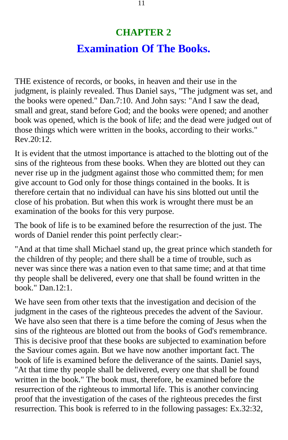# **CHAPTER 2 Examination Of The Books.**

<span id="page-10-0"></span>THE existence of records, or books, in heaven and their use in the judgment, is plainly revealed. Thus Daniel says, "The judgment was set, and the books were opened." Dan.7:10. And John says: "And I saw the dead, small and great, stand before God; and the books were opened; and another book was opened, which is the book of life; and the dead were judged out of those things which were written in the books, according to their works." Rev.20:12.

It is evident that the utmost importance is attached to the blotting out of the sins of the righteous from these books. When they are blotted out they can never rise up in the judgment against those who committed them; for men give account to God only for those things contained in the books. It is therefore certain that no individual can have his sins blotted out until the close of his probation. But when this work is wrought there must be an examination of the books for this very purpose.

The book of life is to be examined before the resurrection of the just. The words of Daniel render this point perfectly clear:-

"And at that time shall Michael stand up, the great prince which standeth for the children of thy people; and there shall be a time of trouble, such as never was since there was a nation even to that same time; and at that time thy people shall be delivered, every one that shall be found written in the book." Dan.12:1.

We have seen from other texts that the investigation and decision of the judgment in the cases of the righteous precedes the advent of the Saviour. We have also seen that there is a time before the coming of Jesus when the sins of the righteous are blotted out from the books of God's remembrance. This is decisive proof that these books are subjected to examination before the Saviour comes again. But we have now another important fact. The book of life is examined before the deliverance of the saints. Daniel says, "At that time thy people shall be delivered, every one that shall be found written in the book." The book must, therefore, be examined before the resurrection of the righteous to immortal life. This is another convincing proof that the investigation of the cases of the righteous precedes the first resurrection. This book is referred to in the following passages: Ex.32:32,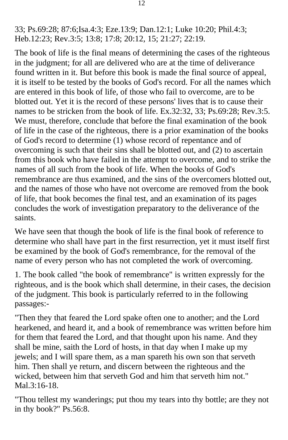33; Ps.69:28; 87:6;Isa.4:3; Eze.13:9; Dan.12:1; Luke 10:20; Phil.4:3; Heb.12:23; Rev.3:5; 13:8; 17:8; 20:12, 15; 21:27; 22:19.

The book of life is the final means of determining the cases of the righteous in the judgment; for all are delivered who are at the time of deliverance found written in it. But before this book is made the final source of appeal, it is itself to be tested by the books of God's record. For all the names which are entered in this book of life, of those who fail to overcome, are to be blotted out. Yet it is the record of these persons' lives that is to cause their names to be stricken from the book of life. Ex.32:32, 33; Ps.69:28; Rev.3:5. We must, therefore, conclude that before the final examination of the book of life in the case of the righteous, there is a prior examination of the books of God's record to determine (1) whose record of repentance and of overcoming is such that their sins shall be blotted out, and (2) to ascertain from this book who have failed in the attempt to overcome, and to strike the names of all such from the book of life. When the books of God's remembrance are thus examined, and the sins of the overcomers blotted out, and the names of those who have not overcome are removed from the book of life, that book becomes the final test, and an examination of its pages concludes the work of investigation preparatory to the deliverance of the saints.

We have seen that though the book of life is the final book of reference to determine who shall have part in the first resurrection, yet it must itself first be examined by the book of God's remembrance, for the removal of the name of every person who has not completed the work of overcoming.

1. The book called "the book of remembrance" is written expressly for the righteous, and is the book which shall determine, in their cases, the decision of the judgment. This book is particularly referred to in the following passages:-

"Then they that feared the Lord spake often one to another; and the Lord hearkened, and heard it, and a book of remembrance was written before him for them that feared the Lord, and that thought upon his name. And they shall be mine, saith the Lord of hosts, in that day when I make up my jewels; and I will spare them, as a man spareth his own son that serveth him. Then shall ye return, and discern between the righteous and the wicked, between him that serveth God and him that serveth him not." Mal.3:16-18.

"Thou tellest my wanderings; put thou my tears into thy bottle; are they not in thy book?" Ps.56:8.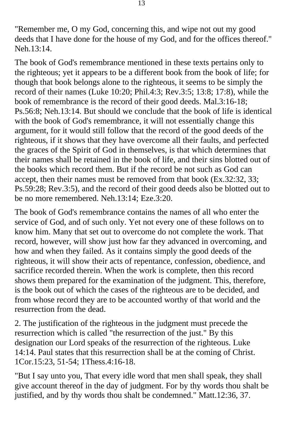"Remember me, O my God, concerning this, and wipe not out my good deeds that I have done for the house of my God, and for the offices thereof." Neh.13:14.

The book of God's remembrance mentioned in these texts pertains only to the righteous; yet it appears to be a different book from the book of life; for though that book belongs alone to the righteous, it seems to be simply the record of their names (Luke 10:20; Phil.4:3; Rev.3:5; 13:8; 17:8), while the book of remembrance is the record of their good deeds. Mal.3:16-18; Ps.56:8; Neh.13:14. But should we conclude that the book of life is identical with the book of God's remembrance, it will not essentially change this argument, for it would still follow that the record of the good deeds of the righteous, if it shows that they have overcome all their faults, and perfected the graces of the Spirit of God in themselves, is that which determines that their names shall be retained in the book of life, and their sins blotted out of the books which record them. But if the record be not such as God can accept, then their names must be removed from that book (Ex.32:32, 33; Ps.59:28; Rev.3:5), and the record of their good deeds also be blotted out to be no more remembered. Neh.13:14; Eze.3:20.

The book of God's remembrance contains the names of all who enter the service of God, and of such only. Yet not every one of these follows on to know him. Many that set out to overcome do not complete the work. That record, however, will show just how far they advanced in overcoming, and how and when they failed. As it contains simply the good deeds of the righteous, it will show their acts of repentance, confession, obedience, and sacrifice recorded therein. When the work is complete, then this record shows them prepared for the examination of the judgment. This, therefore, is the book out of which the cases of the righteous are to be decided, and from whose record they are to be accounted worthy of that world and the resurrection from the dead.

2. The justification of the righteous in the judgment must precede the resurrection which is called "the resurrection of the just." By this designation our Lord speaks of the resurrection of the righteous. Luke 14:14. Paul states that this resurrection shall be at the coming of Christ. 1Cor.15:23, 51-54; 1Thess.4:16-18.

"But I say unto you, That every idle word that men shall speak, they shall give account thereof in the day of judgment. For by thy words thou shalt be justified, and by thy words thou shalt be condemned." Matt.12:36, 37.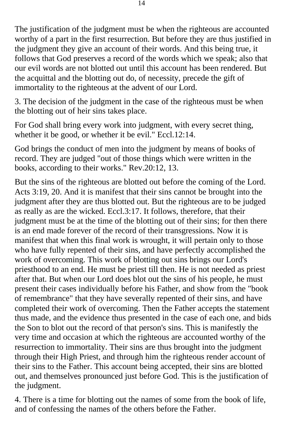The justification of the judgment must be when the righteous are accounted worthy of a part in the first resurrection. But before they are thus justified in the judgment they give an account of their words. And this being true, it follows that God preserves a record of the words which we speak; also that our evil words are not blotted out until this account has been rendered. But the acquittal and the blotting out do, of necessity, precede the gift of immortality to the righteous at the advent of our Lord.

3. The decision of the judgment in the case of the righteous must be when the blotting out of heir sins takes place.

For God shall bring every work into judgment, with every secret thing, whether it be good, or whether it be evil." Eccl.12:14.

God brings the conduct of men into the judgment by means of books of record. They are judged "out of those things which were written in the books, according to their works." Rev.20:12, 13.

But the sins of the righteous are blotted out before the coming of the Lord. Acts 3:19, 20. And it is manifest that their sins cannot be brought into the judgment after they are thus blotted out. But the righteous are to be judged as really as are the wicked. Eccl.3:17. It follows, therefore, that their judgment must be at the time of the blotting out of their sins; for then there is an end made forever of the record of their transgressions. Now it is manifest that when this final work is wrought, it will pertain only to those who have fully repented of their sins, and have perfectly accomplished the work of overcoming. This work of blotting out sins brings our Lord's priesthood to an end. He must be priest till then. He is not needed as priest after that. But when our Lord does blot out the sins of his people, he must present their cases individually before his Father, and show from the "book of remembrance" that they have severally repented of their sins, and have completed their work of overcoming. Then the Father accepts the statement thus made, and the evidence thus presented in the case of each one, and bids the Son to blot out the record of that person's sins. This is manifestly the very time and occasion at which the righteous are accounted worthy of the resurrection to immortality. Their sins are thus brought into the judgment through their High Priest, and through him the righteous render account of their sins to the Father. This account being accepted, their sins are blotted out, and themselves pronounced just before God. This is the justification of the judgment.

4. There is a time for blotting out the names of some from the book of life, and of confessing the names of the others before the Father.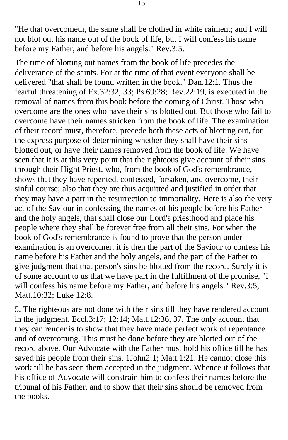"He that overcometh, the same shall be clothed in white raiment; and I will not blot out his name out of the book of life, but I will confess his name before my Father, and before his angels." Rev.3:5.

The time of blotting out names from the book of life precedes the deliverance of the saints. For at the time of that event everyone shall be delivered "that shall be found written in the book." Dan.12:1. Thus the fearful threatening of Ex.32:32, 33; Ps.69:28; Rev.22:19, is executed in the removal of names from this book before the coming of Christ. Those who overcome are the ones who have their sins blotted out. But those who fail to overcome have their names stricken from the book of life. The examination of their record must, therefore, precede both these acts of blotting out, for the express purpose of determining whether they shall have their sins blotted out, or have their names removed from the book of life. We have seen that it is at this very point that the righteous give account of their sins through their Hight Priest, who, from the book of God's remembrance, shows that they have repented, confessed, forsaken, and overcome, their sinful course; also that they are thus acquitted and justified in order that they may have a part in the resurrection to immortality. Here is also the very act of the Saviour in confessing the names of his people before his Father and the holy angels, that shall close our Lord's priesthood and place his people where they shall be forever free from all their sins. For when the book of God's remembrance is found to prove that the person under examination is an overcomer, it is then the part of the Saviour to confess his name before his Father and the holy angels, and the part of the Father to give judgment that that person's sins be blotted from the record. Surely it is of some account to us that we have part in the fulfillment of the promise, "I will confess his name before my Father, and before his angels." Rev.3:5; Matt.10:32; Luke 12:8.

5. The righteous are not done with their sins till they have rendered account in the judgment. Eccl.3:17; 12:14; Matt.12:36, 37. The only account that they can render is to show that they have made perfect work of repentance and of overcoming. This must be done before they are blotted out of the record above. Our Advocate with the Father must hold his office till he has saved his people from their sins. 1John2:1; Matt.1:21. He cannot close this work till he has seen them accepted in the judgment. Whence it follows that his office of Advocate will constrain him to confess their names before the tribunal of his Father, and to show that their sins should be removed from the books.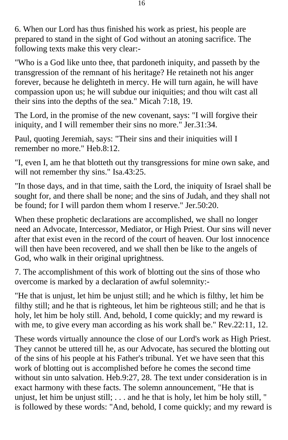6. When our Lord has thus finished his work as priest, his people are prepared to stand in the sight of God without an atoning sacrifice. The following texts make this very clear:-

"Who is a God like unto thee, that pardoneth iniquity, and passeth by the transgression of the remnant of his heritage? He retaineth not his anger forever, because he delighteth in mercy. He will turn again, he will have compassion upon us; he will subdue our iniquities; and thou wilt cast all their sins into the depths of the sea." Micah 7:18, 19.

The Lord, in the promise of the new covenant, says: "I will forgive their iniquity, and I will remember their sins no more." Jer.31:34.

Paul, quoting Jeremiah, says: "Their sins and their iniquities will I remember no more." Heb.8:12.

"I, even I, am he that blotteth out thy transgressions for mine own sake, and will not remember thy sins." Isa.43:25.

"In those days, and in that time, saith the Lord, the iniquity of Israel shall be sought for, and there shall be none; and the sins of Judah, and they shall not be found; for I will pardon them whom I reserve." Jer.50:20.

When these prophetic declarations are accomplished, we shall no longer need an Advocate, Intercessor, Mediator, or High Priest. Our sins will never after that exist even in the record of the court of heaven. Our lost innocence will then have been recovered, and we shall then be like to the angels of God, who walk in their original uprightness.

7. The accomplishment of this work of blotting out the sins of those who overcome is marked by a declaration of awful solemnity:-

"He that is unjust, let him be unjust still; and he which is filthy, let him be filthy still; and he that is righteous, let him be righteous still; and he that is holy, let him be holy still. And, behold, I come quickly; and my reward is with me, to give every man according as his work shall be." Rev. 22:11, 12.

These words virtually announce the close of our Lord's work as High Priest. They cannot be uttered till he, as our Advocate, has secured the blotting out of the sins of his people at his Father's tribunal. Yet we have seen that this work of blotting out is accomplished before he comes the second time without sin unto salvation. Heb.9:27, 28. The text under consideration is in exact harmony with these facts. The solemn announcement, "He that is unjust, let him be unjust still; . . . and he that is holy, let him be holy still, " is followed by these words: "And, behold, I come quickly; and my reward is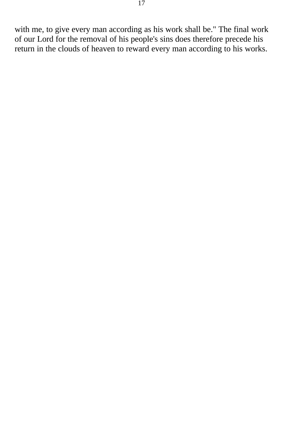with me, to give every man according as his work shall be." The final work of our Lord for the removal of his people's sins does therefore precede his return in the clouds of heaven to reward every man according to his works.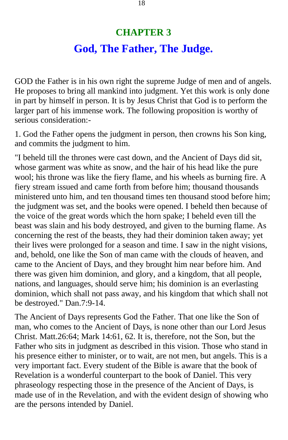# **CHAPTER 3 God, The Father, The Judge.**

<span id="page-17-0"></span>GOD the Father is in his own right the supreme Judge of men and of angels. He proposes to bring all mankind into judgment. Yet this work is only done in part by himself in person. It is by Jesus Christ that God is to perform the larger part of his immense work. The following proposition is worthy of serious consideration:-

1. God the Father opens the judgment in person, then crowns his Son king, and commits the judgment to him.

"I beheld till the thrones were cast down, and the Ancient of Days did sit, whose garment was white as snow, and the hair of his head like the pure wool; his throne was like the fiery flame, and his wheels as burning fire. A fiery stream issued and came forth from before him; thousand thousands ministered unto him, and ten thousand times ten thousand stood before him; the judgment was set, and the books were opened. I beheld then because of the voice of the great words which the horn spake; I beheld even till the beast was slain and his body destroyed, and given to the burning flame. As concerning the rest of the beasts, they had their dominion taken away; yet their lives were prolonged for a season and time. I saw in the night visions, and, behold, one like the Son of man came with the clouds of heaven, and came to the Ancient of Days, and they brought him near before him. And there was given him dominion, and glory, and a kingdom, that all people, nations, and languages, should serve him; his dominion is an everlasting dominion, which shall not pass away, and his kingdom that which shall not be destroyed." Dan.7:9-14.

The Ancient of Days represents God the Father. That one like the Son of man, who comes to the Ancient of Days, is none other than our Lord Jesus Christ. Matt.26:64; Mark 14:61, 62. It is, therefore, not the Son, but the Father who sits in judgment as described in this vision. Those who stand in his presence either to minister, or to wait, are not men, but angels. This is a very important fact. Every student of the Bible is aware that the book of Revelation is a wonderful counterpart to the book of Daniel. This very phraseology respecting those in the presence of the Ancient of Days, is made use of in the Revelation, and with the evident design of showing who are the persons intended by Daniel.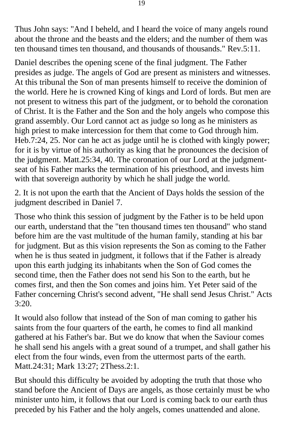Thus John says: "And I beheld, and I heard the voice of many angels round about the throne and the beasts and the elders; and the number of them was ten thousand times ten thousand, and thousands of thousands." Rev.5:11.

Daniel describes the opening scene of the final judgment. The Father presides as judge. The angels of God are present as ministers and witnesses. At this tribunal the Son of man presents himself to receive the dominion of the world. Here he is crowned King of kings and Lord of lords. But men are not present to witness this part of the judgment, or to behold the coronation of Christ. It is the Father and the Son and the holy angels who compose this grand assembly. Our Lord cannot act as judge so long as he ministers as high priest to make intercession for them that come to God through him. Heb.7:24, 25. Nor can he act as judge until he is clothed with kingly power; for it is by virtue of his authority as king that he pronounces the decision of the judgment. Matt.25:34, 40. The coronation of our Lord at the judgmentseat of his Father marks the termination of his priesthood, and invests him with that sovereign authority by which he shall judge the world.

2. It is not upon the earth that the Ancient of Days holds the session of the judgment described in Daniel 7.

Those who think this session of judgment by the Father is to be held upon our earth, understand that the "ten thousand times ten thousand" who stand before him are the vast multitude of the human family, standing at his bar for judgment. But as this vision represents the Son as coming to the Father when he is thus seated in judgment, it follows that if the Father is already upon this earth judging its inhabitants when the Son of God comes the second time, then the Father does not send his Son to the earth, but he comes first, and then the Son comes and joins him. Yet Peter said of the Father concerning Christ's second advent, "He shall send Jesus Christ." Acts 3:20.

It would also follow that instead of the Son of man coming to gather his saints from the four quarters of the earth, he comes to find all mankind gathered at his Father's bar. But we do know that when the Saviour comes he shall send his angels with a great sound of a trumpet, and shall gather his elect from the four winds, even from the uttermost parts of the earth. Matt.24:31; Mark 13:27; 2Thess.2:1.

But should this difficulty be avoided by adopting the truth that those who stand before the Ancient of Days are angels, as those certainly must be who minister unto him, it follows that our Lord is coming back to our earth thus preceded by his Father and the holy angels, comes unattended and alone.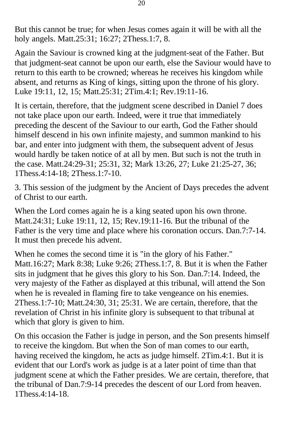But this cannot be true; for when Jesus comes again it will be with all the holy angels. Matt.25:31; 16:27; 2Thess.1:7, 8.

Again the Saviour is crowned king at the judgment-seat of the Father. But that judgment-seat cannot be upon our earth, else the Saviour would have to return to this earth to be crowned; whereas he receives his kingdom while absent, and returns as King of kings, sitting upon the throne of his glory. Luke 19:11, 12, 15; Matt.25:31; 2Tim.4:1; Rev.19:11-16.

It is certain, therefore, that the judgment scene described in Daniel 7 does not take place upon our earth. Indeed, were it true that immediately preceding the descent of the Saviour to our earth, God the Father should himself descend in his own infinite majesty, and summon mankind to his bar, and enter into judgment with them, the subsequent advent of Jesus would hardly be taken notice of at all by men. But such is not the truth in the case. Matt.24:29-31; 25:31, 32; Mark 13:26, 27; Luke 21:25-27, 36; 1Thess.4:14-18; 2Thess.1:7-10.

3. This session of the judgment by the Ancient of Days precedes the advent of Christ to our earth.

When the Lord comes again he is a king seated upon his own throne. Matt.24:31; Luke 19:11, 12, 15; Rev.19:11-16. But the tribunal of the Father is the very time and place where his coronation occurs. Dan.7:7-14. It must then precede his advent.

When he comes the second time it is "in the glory of his Father." Matt.16:27; Mark 8:38; Luke 9:26; 2Thess.1:7, 8. But it is when the Father sits in judgment that he gives this glory to his Son. Dan.7:14. Indeed, the very majesty of the Father as displayed at this tribunal, will attend the Son when he is revealed in flaming fire to take vengeance on his enemies. 2Thess.1:7-10; Matt.24:30, 31; 25:31. We are certain, therefore, that the revelation of Christ in his infinite glory is subsequent to that tribunal at which that glory is given to him.

On this occasion the Father is judge in person, and the Son presents himself to receive the kingdom. But when the Son of man comes to our earth, having received the kingdom, he acts as judge himself. 2Tim.4:1. But it is evident that our Lord's work as judge is at a later point of time than that judgment scene at which the Father presides. We are certain, therefore, that the tribunal of Dan.7:9-14 precedes the descent of our Lord from heaven. 1Thess.4:14-18.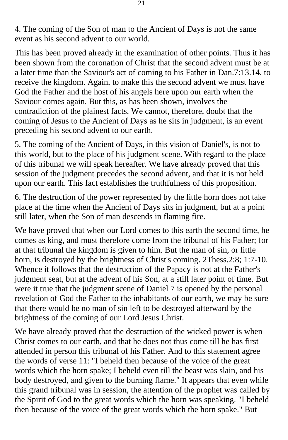4. The coming of the Son of man to the Ancient of Days is not the same event as his second advent to our world.

This has been proved already in the examination of other points. Thus it has been shown from the coronation of Christ that the second advent must be at a later time than the Saviour's act of coming to his Father in Dan.7:13.14, to receive the kingdom. Again, to make this the second advent we must have God the Father and the host of his angels here upon our earth when the Saviour comes again. But this, as has been shown, involves the contradiction of the plainest facts. We cannot, therefore, doubt that the coming of Jesus to the Ancient of Days as he sits in judgment, is an event preceding his second advent to our earth.

5. The coming of the Ancient of Days, in this vision of Daniel's, is not to this world, but to the place of his judgment scene. With regard to the place of this tribunal we will speak hereafter. We have already proved that this session of the judgment precedes the second advent, and that it is not held upon our earth. This fact establishes the truthfulness of this proposition.

6. The destruction of the power represented by the little horn does not take place at the time when the Ancient of Days sits in judgment, but at a point still later, when the Son of man descends in flaming fire.

We have proved that when our Lord comes to this earth the second time, he comes as king, and must therefore come from the tribunal of his Father; for at that tribunal the kingdom is given to him. But the man of sin, or little horn, is destroyed by the brightness of Christ's coming. 2Thess.2:8; 1:7-10. Whence it follows that the destruction of the Papacy is not at the Father's judgment seat, but at the advent of his Son, at a still later point of time. But were it true that the judgment scene of Daniel 7 is opened by the personal revelation of God the Father to the inhabitants of our earth, we may be sure that there would be no man of sin left to be destroyed afterward by the brightness of the coming of our Lord Jesus Christ.

We have already proved that the destruction of the wicked power is when Christ comes to our earth, and that he does not thus come till he has first attended in person this tribunal of his Father. And to this statement agree the words of verse 11: "I beheld then because of the voice of the great words which the horn spake; I beheld even till the beast was slain, and his body destroyed, and given to the burning flame." It appears that even while this grand tribunal was in session, the attention of the prophet was called by the Spirit of God to the great words which the horn was speaking. "I beheld then because of the voice of the great words which the horn spake." But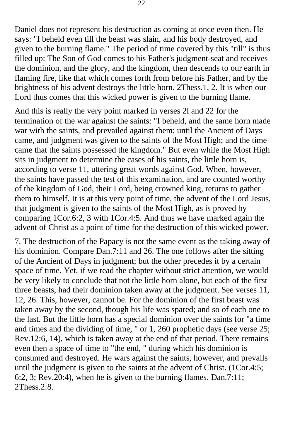Daniel does not represent his destruction as coming at once even then. He says: "I beheld even till the beast was slain, and his body destroyed, and given to the burning flame." The period of time covered by this "till" is thus filled up: The Son of God comes to his Father's judgment-seat and receives the dominion, and the glory, and the kingdom, then descends to our earth in flaming fire, like that which comes forth from before his Father, and by the brightness of his advent destroys the little horn. 2Thess.1, 2. It is when our Lord thus comes that this wicked power is given to the burning flame.

And this is really the very point marked in verses 2l and 22 for the termination of the war against the saints: "I beheld, and the same horn made war with the saints, and prevailed against them; until the Ancient of Days came, and judgment was given to the saints of the Most High; and the time came that the saints possessed the kingdom." But even while the Most High sits in judgment to determine the cases of his saints, the little horn is, according to verse 11, uttering great words against God. When, however, the saints have passed the test of this examination, and are counted worthy of the kingdom of God, their Lord, being crowned king, returns to gather them to himself. It is at this very point of time, the advent of the Lord Jesus, that judgment is given to the saints of the Most High, as is proved by comparing 1Cor.6:2, 3 with 1Cor.4:5. And thus we have marked again the advent of Christ as a point of time for the destruction of this wicked power.

7. The destruction of the Papacy is not the same event as the taking away of his dominion. Compare Dan.7:11 and 26. The one follows after the sitting of the Ancient of Days in judgment; but the other precedes it by a certain space of time. Yet, if we read the chapter without strict attention, we would be very likely to conclude that not the little horn alone, but each of the first three beasts, had their dominion taken away at the judgment. See verses 11, 12, 26. This, however, cannot be. For the dominion of the first beast was taken away by the second, though his life was spared; and so of each one to the last. But the little horn has a special dominion over the saints for "a time and times and the dividing of time, " or 1, 260 prophetic days (see verse 25; Rev.12:6, 14), which is taken away at the end of that period. There remains even then a space of time to "the end, " during which his dominion is consumed and destroyed. He wars against the saints, however, and prevails until the judgment is given to the saints at the advent of Christ. (1Cor.4:5; 6:2, 3; Rev.20:4), when he is given to the burning flames. Dan.7:11;  $2$ Thess. $2:8$ .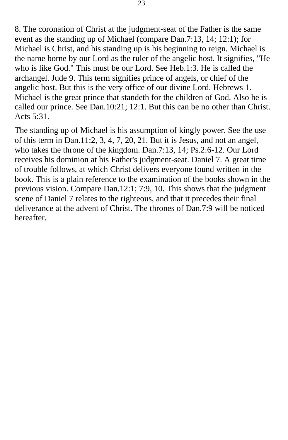8. The coronation of Christ at the judgment-seat of the Father is the same event as the standing up of Michael (compare Dan.7:13, 14; 12:1); for Michael is Christ, and his standing up is his beginning to reign. Michael is the name borne by our Lord as the ruler of the angelic host. It signifies, "He who is like God." This must be our Lord. See Heb.1:3. He is called the archangel. Jude 9. This term signifies prince of angels, or chief of the angelic host. But this is the very office of our divine Lord. Hebrews 1. Michael is the great prince that standeth for the children of God. Also he is called our prince. See Dan.10:21; 12:1. But this can be no other than Christ. Acts 5:31.

The standing up of Michael is his assumption of kingly power. See the use of this term in Dan.11:2, 3, 4, 7, 20, 21. But it is Jesus, and not an angel, who takes the throne of the kingdom. Dan.7:13, 14; Ps.2:6-12. Our Lord receives his dominion at his Father's judgment-seat. Daniel 7. A great time of trouble follows, at which Christ delivers everyone found written in the book. This is a plain reference to the examination of the books shown in the previous vision. Compare Dan.12:1; 7:9, 10. This shows that the judgment scene of Daniel 7 relates to the righteous, and that it precedes their final deliverance at the advent of Christ. The thrones of Dan.7:9 will be noticed hereafter.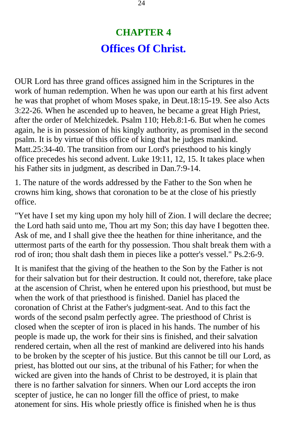## **CHAPTER 4 Offices Of Christ.**

<span id="page-23-0"></span>OUR Lord has three grand offices assigned him in the Scriptures in the work of human redemption. When he was upon our earth at his first advent he was that prophet of whom Moses spake, in Deut.18:15-19. See also Acts 3:22-26. When he ascended up to heaven, he became a great High Priest, after the order of Melchizedek. Psalm 110; Heb.8:1-6. But when he comes again, he is in possession of his kingly authority, as promised in the second psalm. It is by virtue of this office of king that he judges mankind. Matt.25:34-40. The transition from our Lord's priesthood to his kingly office precedes his second advent. Luke 19:11, 12, 15. It takes place when his Father sits in judgment, as described in Dan.7:9-14.

1. The nature of the words addressed by the Father to the Son when he crowns him king, shows that coronation to be at the close of his priestly office.

"Yet have I set my king upon my holy hill of Zion. I will declare the decree; the Lord hath said unto me, Thou art my Son; this day have I begotten thee. Ask of me, and I shall give thee the heathen for thine inheritance, and the uttermost parts of the earth for thy possession. Thou shalt break them with a rod of iron; thou shalt dash them in pieces like a potter's vessel." Ps.2:6-9.

It is manifest that the giving of the heathen to the Son by the Father is not for their salvation but for their destruction. It could not, therefore, take place at the ascension of Christ, when he entered upon his priesthood, but must be when the work of that priesthood is finished. Daniel has placed the coronation of Christ at the Father's judgment-seat. And to this fact the words of the second psalm perfectly agree. The priesthood of Christ is closed when the scepter of iron is placed in his hands. The number of his people is made up, the work for their sins is finished, and their salvation rendered certain, when all the rest of mankind are delivered into his hands to be broken by the scepter of his justice. But this cannot be till our Lord, as priest, has blotted out our sins, at the tribunal of his Father; for when the wicked are given into the hands of Christ to be destroyed, it is plain that there is no farther salvation for sinners. When our Lord accepts the iron scepter of justice, he can no longer fill the office of priest, to make atonement for sins. His whole priestly office is finished when he is thus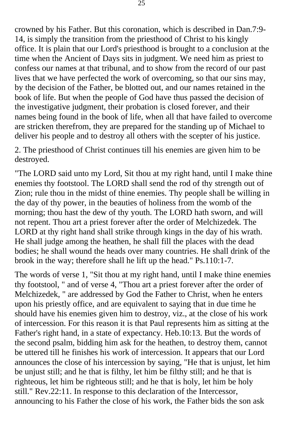crowned by his Father. But this coronation, which is described in Dan.7:9- 14, is simply the transition from the priesthood of Christ to his kingly office. It is plain that our Lord's priesthood is brought to a conclusion at the time when the Ancient of Days sits in judgment. We need him as priest to confess our names at that tribunal, and to show from the record of our past lives that we have perfected the work of overcoming, so that our sins may, by the decision of the Father, be blotted out, and our names retained in the book of life. But when the people of God have thus passed the decision of the investigative judgment, their probation is closed forever, and their names being found in the book of life, when all that have failed to overcome are stricken therefrom, they are prepared for the standing up of Michael to deliver his people and to destroy all others with the scepter of his justice.

2. The priesthood of Christ continues till his enemies are given him to be destroyed.

"The LORD said unto my Lord, Sit thou at my right hand, until I make thine enemies thy footstool. The LORD shall send the rod of thy strength out of Zion; rule thou in the midst of thine enemies. Thy people shall be willing in the day of thy power, in the beauties of holiness from the womb of the morning; thou hast the dew of thy youth. The LORD hath sworn, and will not repent. Thou art a priest forever after the order of Melchizedek. The LORD at thy right hand shall strike through kings in the day of his wrath. He shall judge among the heathen, he shall fill the places with the dead bodies; he shall wound the heads over many countries. He shall drink of the brook in the way; therefore shall he lift up the head." Ps.110:1-7.

The words of verse 1, "Sit thou at my right hand, until I make thine enemies thy footstool, " and of verse 4, "Thou art a priest forever after the order of Melchizedek, " are addressed by God the Father to Christ, when he enters upon his priestly office, and are equivalent to saying that in due time he should have his enemies given him to destroy, viz., at the close of his work of intercession. For this reason it is that Paul represents him as sitting at the Father's right hand, in a state of expectancy. Heb.10:13. But the words of the second psalm, bidding him ask for the heathen, to destroy them, cannot be uttered till he finishes his work of intercession. It appears that our Lord announces the close of his intercession by saying, "He that is unjust, let him be unjust still; and he that is filthy, let him be filthy still; and he that is righteous, let him be righteous still; and he that is holy, let him be holy still." Rev.22:11. In response to this declaration of the Intercessor, announcing to his Father the close of his work, the Father bids the son ask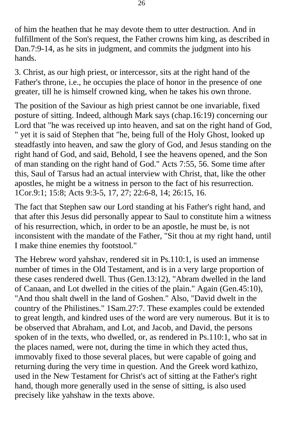of him the heathen that he may devote them to utter destruction. And in fulfillment of the Son's request, the Father crowns him king, as described in Dan.7:9-14, as he sits in judgment, and commits the judgment into his hands.

3. Christ, as our high priest, or intercessor, sits at the right hand of the Father's throne, i.e., he occupies the place of honor in the presence of one greater, till he is himself crowned king, when he takes his own throne.

The position of the Saviour as high priest cannot be one invariable, fixed posture of sitting. Indeed, although Mark says (chap.16:19) concerning our Lord that "he was received up into heaven, and sat on the right hand of God, " yet it is said of Stephen that "he, being full of the Holy Ghost, looked up steadfastly into heaven, and saw the glory of God, and Jesus standing on the right hand of God, and said, Behold, I see the heavens opened, and the Son of man standing on the right hand of God." Acts 7:55, 56. Some time after this, Saul of Tarsus had an actual interview with Christ, that, like the other apostles, he might be a witness in person to the fact of his resurrection. 1Cor.9:1; 15:8; Acts 9:3-5, 17, 27; 22:6-8, 14; 26:15, 16.

The fact that Stephen saw our Lord standing at his Father's right hand, and that after this Jesus did personally appear to Saul to constitute him a witness of his resurrection, which, in order to be an apostle, he must be, is not inconsistent with the mandate of the Father, "Sit thou at my right hand, until I make thine enemies thy footstool."

The Hebrew word yahshav, rendered sit in Ps.110:1, is used an immense number of times in the Old Testament, and is in a very large proportion of these cases rendered dwell. Thus (Gen.13:12), "Abram dwelled in the land of Canaan, and Lot dwelled in the cities of the plain." Again (Gen.45:10), "And thou shalt dwell in the land of Goshen." Also, "David dwelt in the country of the Philistines." 1Sam.27:7. These examples could be extended to great length, and kindred uses of the word are very numerous. But it is to be observed that Abraham, and Lot, and Jacob, and David, the persons spoken of in the texts, who dwelled, or, as rendered in Ps.110:1, who sat in the places named, were not, during the time in which they acted thus, immovably fixed to those several places, but were capable of going and returning during the very time in question. And the Greek word kathizo, used in the New Testament for Christ's act of sitting at the Father's right hand, though more generally used in the sense of sitting, is also used precisely like yahshaw in the texts above.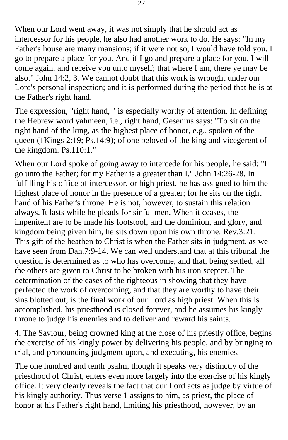When our Lord went away, it was not simply that he should act as intercessor for his people, he also had another work to do. He says: "In my Father's house are many mansions; if it were not so, I would have told you. I go to prepare a place for you. And if I go and prepare a place for you, I will come again, and receive you unto myself; that where I am, there ye may be also." John 14:2, 3. We cannot doubt that this work is wrought under our Lord's personal inspection; and it is performed during the period that he is at the Father's right hand.

The expression, "right hand, " is especially worthy of attention. In defining the Hebrew word yahmeen, i.e., right hand, Gesenius says: "To sit on the right hand of the king, as the highest place of honor, e.g., spoken of the queen (1Kings 2:19; Ps.14:9); of one beloved of the king and vicegerent of the kingdom. Ps.110:1."

When our Lord spoke of going away to intercede for his people, he said: "I go unto the Father; for my Father is a greater than I." John 14:26-28. In fulfilling his office of intercessor, or high priest, he has assigned to him the highest place of honor in the presence of a greater; for he sits on the right hand of his Father's throne. He is not, however, to sustain this relation always. It lasts while he pleads for sinful men. When it ceases, the impenitent are to be made his footstool, and the dominion, and glory, and kingdom being given him, he sits down upon his own throne. Rev.3:21. This gift of the heathen to Christ is when the Father sits in judgment, as we have seen from Dan.7:9-14. We can well understand that at this tribunal the question is determined as to who has overcome, and that, being settled, all the others are given to Christ to be broken with his iron scepter. The determination of the cases of the righteous in showing that they have perfected the work of overcoming, and that they are worthy to have their sins blotted out, is the final work of our Lord as high priest. When this is accomplished, his priesthood is closed forever, and he assumes his kingly throne to judge his enemies and to deliver and reward his saints.

4. The Saviour, being crowned king at the close of his priestly office, begins the exercise of his kingly power by delivering his people, and by bringing to trial, and pronouncing judgment upon, and executing, his enemies.

The one hundred and tenth psalm, though it speaks very distinctly of the priesthood of Christ, enters even more largely into the exercise of his kingly office. It very clearly reveals the fact that our Lord acts as judge by virtue of his kingly authority. Thus verse 1 assigns to him, as priest, the place of honor at his Father's right hand, limiting his priesthood, however, by an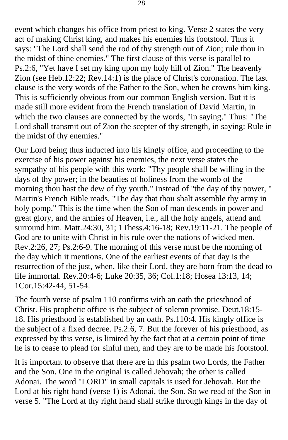event which changes his office from priest to king. Verse 2 states the very act of making Christ king, and makes his enemies his footstool. Thus it says: "The Lord shall send the rod of thy strength out of Zion; rule thou in the midst of thine enemies." The first clause of this verse is parallel to Ps.2:6, "Yet have I set my king upon my holy hill of Zion." The heavenly Zion (see Heb.12:22; Rev.14:1) is the place of Christ's coronation. The last clause is the very words of the Father to the Son, when he crowns him king. This is sufficiently obvious from our common English version. But it is made still more evident from the French translation of David Martin, in which the two clauses are connected by the words, "in saying." Thus: "The Lord shall transmit out of Zion the scepter of thy strength, in saying: Rule in the midst of thy enemies."

Our Lord being thus inducted into his kingly office, and proceeding to the exercise of his power against his enemies, the next verse states the sympathy of his people with this work: "Thy people shall be willing in the days of thy power; in the beauties of holiness from the womb of the morning thou hast the dew of thy youth." Instead of "the day of thy power, " Martin's French Bible reads, "The day that thou shalt assemble thy army in holy pomp." This is the time when the Son of man descends in power and great glory, and the armies of Heaven, i.e., all the holy angels, attend and surround him. Matt.24:30, 31; 1Thess.4:16-18; Rev.19:11-21. The people of God are to unite with Christ in his rule over the nations of wicked men. Rev.2:26, 27; Ps.2:6-9. The morning of this verse must be the morning of the day which it mentions. One of the earliest events of that day is the resurrection of the just, when, like their Lord, they are born from the dead to life immortal. Rev.20:4-6; Luke 20:35, 36; Col.1:18; Hosea 13:13, 14; 1Cor.15:42-44, 51-54.

The fourth verse of psalm 110 confirms with an oath the priesthood of Christ. His prophetic office is the subject of solemn promise. Deut.18:15- 18. His priesthood is established by an oath. Ps.110:4. His kingly office is the subject of a fixed decree. Ps.2:6, 7. But the forever of his priesthood, as expressed by this verse, is limited by the fact that at a certain point of time he is to cease to plead for sinful men, and they are to be made his footstool.

It is important to observe that there are in this psalm two Lords, the Father and the Son. One in the original is called Jehovah; the other is called Adonai. The word "LORD" in small capitals is used for Jehovah. But the Lord at his right hand (verse 1) is Adonai, the Son. So we read of the Son in verse 5. "The Lord at thy right hand shall strike through kings in the day of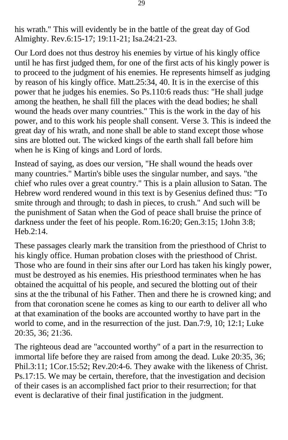his wrath." This will evidently be in the battle of the great day of God Almighty. Rev.6:15-17; 19:11-21; Isa.24:21-23.

Our Lord does not thus destroy his enemies by virtue of his kingly office until he has first judged them, for one of the first acts of his kingly power is to proceed to the judgment of his enemies. He represents himself as judging by reason of his kingly office. Matt.25:34, 40. It is in the exercise of this power that he judges his enemies. So Ps.110:6 reads thus: "He shall judge among the heathen, he shall fill the places with the dead bodies; he shall wound the heads over many countries." This is the work in the day of his power, and to this work his people shall consent. Verse 3. This is indeed the great day of his wrath, and none shall be able to stand except those whose sins are blotted out. The wicked kings of the earth shall fall before him when he is King of kings and Lord of lords.

Instead of saying, as does our version, "He shall wound the heads over many countries." Martin's bible uses the singular number, and says. "the chief who rules over a great country." This is a plain allusion to Satan. The Hebrew word rendered wound in this text is by Gesenius defined thus: "To smite through and through; to dash in pieces, to crush." And such will be the punishment of Satan when the God of peace shall bruise the prince of darkness under the feet of his people. Rom.16:20; Gen.3:15; 1John 3:8; Heb.2:14.

These passages clearly mark the transition from the priesthood of Christ to his kingly office. Human probation closes with the priesthood of Christ. Those who are found in their sins after our Lord has taken his kingly power, must be destroyed as his enemies. His priesthood terminates when he has obtained the acquittal of his people, and secured the blotting out of their sins at the the tribunal of his Father. Then and there he is crowned king; and from that coronation scene he comes as king to our earth to deliver all who at that examination of the books are accounted worthy to have part in the world to come, and in the resurrection of the just. Dan.7:9, 10; 12:1; Luke 20:35, 36; 21:36.

The righteous dead are "accounted worthy" of a part in the resurrection to immortal life before they are raised from among the dead. Luke 20:35, 36; Phil.3:11; 1Cor.15:52; Rev.20:4-6. They awake with the likeness of Christ. Ps.17:15. We may be certain, therefore, that the investigation and decision of their cases is an accomplished fact prior to their resurrection; for that event is declarative of their final justification in the judgment.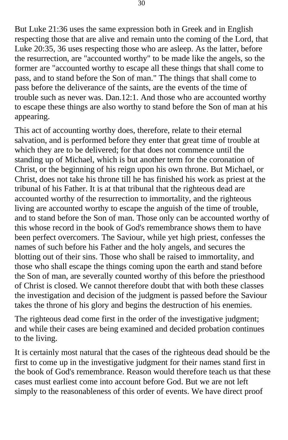But Luke 21:36 uses the same expression both in Greek and in English respecting those that are alive and remain unto the coming of the Lord, that Luke 20:35, 36 uses respecting those who are asleep. As the latter, before the resurrection, are "accounted worthy" to be made like the angels, so the former are "accounted worthy to escape all these things that shall come to pass, and to stand before the Son of man." The things that shall come to pass before the deliverance of the saints, are the events of the time of trouble such as never was. Dan.12:1. And those who are accounted worthy to escape these things are also worthy to stand before the Son of man at his appearing.

This act of accounting worthy does, therefore, relate to their eternal salvation, and is performed before they enter that great time of trouble at which they are to be delivered; for that does not commence until the standing up of Michael, which is but another term for the coronation of Christ, or the beginning of his reign upon his own throne. But Michael, or Christ, does not take his throne till he has finished his work as priest at the tribunal of his Father. It is at that tribunal that the righteous dead are accounted worthy of the resurrection to immortality, and the righteous living are accounted worthy to escape the anguish of the time of trouble, and to stand before the Son of man. Those only can be accounted worthy of this whose record in the book of God's remembrance shows them to have been perfect overcomers. The Saviour, while yet high priest, confesses the names of such before his Father and the holy angels, and secures the blotting out of their sins. Those who shall be raised to immortality, and those who shall escape the things coming upon the earth and stand before the Son of man, are severally counted worthy of this before the priesthood of Christ is closed. We cannot therefore doubt that with both these classes the investigation and decision of the judgment is passed before the Saviour takes the throne of his glory and begins the destruction of his enemies.

The righteous dead come first in the order of the investigative judgment; and while their cases are being examined and decided probation continues to the living.

It is certainly most natural that the cases of the righteous dead should be the first to come up in the investigative judgment for their names stand first in the book of God's remembrance. Reason would therefore teach us that these cases must earliest come into account before God. But we are not left simply to the reasonableness of this order of events. We have direct proof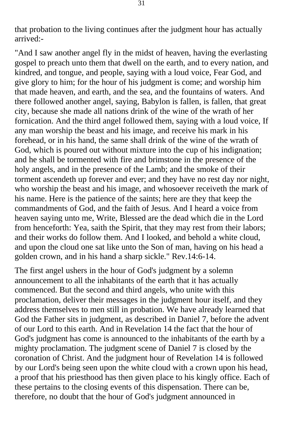that probation to the living continues after the judgment hour has actually arrived:-

"And I saw another angel fly in the midst of heaven, having the everlasting gospel to preach unto them that dwell on the earth, and to every nation, and kindred, and tongue, and people, saying with a loud voice, Fear God, and give glory to him; for the hour of his judgment is come; and worship him that made heaven, and earth, and the sea, and the fountains of waters. And there followed another angel, saying, Babylon is fallen, is fallen, that great city, because she made all nations drink of the wine of the wrath of her fornication. And the third angel followed them, saying with a loud voice, If any man worship the beast and his image, and receive his mark in his forehead, or in his hand, the same shall drink of the wine of the wrath of God, which is poured out without mixture into the cup of his indignation; and he shall be tormented with fire and brimstone in the presence of the holy angels, and in the presence of the Lamb; and the smoke of their torment ascendeth up forever and ever; and they have no rest day nor night, who worship the beast and his image, and whosoever receiveth the mark of his name. Here is the patience of the saints; here are they that keep the commandments of God, and the faith of Jesus. And I heard a voice from heaven saying unto me, Write, Blessed are the dead which die in the Lord from henceforth: Yea, saith the Spirit, that they may rest from their labors; and their works do follow them. And I looked, and behold a white cloud, and upon the cloud one sat like unto the Son of man, having on his head a golden crown, and in his hand a sharp sickle." Rev.14:6-14.

The first angel ushers in the hour of God's judgment by a solemn announcement to all the inhabitants of the earth that it has actually commenced. But the second and third angels, who unite with this proclamation, deliver their messages in the judgment hour itself, and they address themselves to men still in probation. We have already learned that God the Father sits in judgment, as described in Daniel 7, before the advent of our Lord to this earth. And in Revelation 14 the fact that the hour of God's judgment has come is announced to the inhabitants of the earth by a mighty proclamation. The judgment scene of Daniel 7 is closed by the coronation of Christ. And the judgment hour of Revelation 14 is followed by our Lord's being seen upon the white cloud with a crown upon his head, a proof that his priesthood has then given place to his kingly office. Each of these pertains to the closing events of this dispensation. There can be, therefore, no doubt that the hour of God's judgment announced in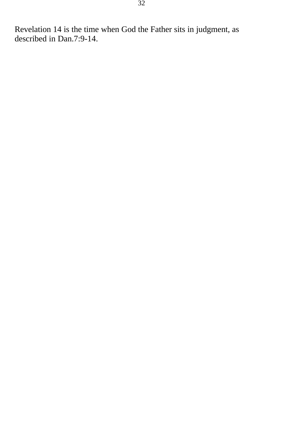Revelation 14 is the time when God the Father sits in judgment, as described in Dan.7:9-14.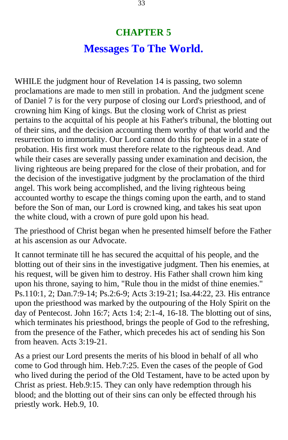## **CHAPTER 5 Messages To The World.**

<span id="page-32-0"></span>WHILE the judgment hour of Revelation 14 is passing, two solemn proclamations are made to men still in probation. And the judgment scene of Daniel 7 is for the very purpose of closing our Lord's priesthood, and of crowning him King of kings. But the closing work of Christ as priest pertains to the acquittal of his people at his Father's tribunal, the blotting out of their sins, and the decision accounting them worthy of that world and the resurrection to immortality. Our Lord cannot do this for people in a state of probation. His first work must therefore relate to the righteous dead. And while their cases are severally passing under examination and decision, the living righteous are being prepared for the close of their probation, and for the decision of the investigative judgment by the proclamation of the third angel. This work being accomplished, and the living righteous being accounted worthy to escape the things coming upon the earth, and to stand before the Son of man, our Lord is crowned king, and takes his seat upon the white cloud, with a crown of pure gold upon his head.

The priesthood of Christ began when he presented himself before the Father at his ascension as our Advocate.

It cannot terminate till he has secured the acquittal of his people, and the blotting out of their sins in the investigative judgment. Then his enemies, at his request, will be given him to destroy. His Father shall crown him king upon his throne, saying to him, "Rule thou in the midst of thine enemies." Ps.110:1, 2; Dan.7:9-14; Ps.2:6-9; Acts 3:19-21; Isa.44:22, 23. His entrance upon the priesthood was marked by the outpouring of the Holy Spirit on the day of Pentecost. John 16:7; Acts 1:4; 2:1-4, 16-18. The blotting out of sins, which terminates his priesthood, brings the people of God to the refreshing, from the presence of the Father, which precedes his act of sending his Son from heaven. Acts 3:19-21.

As a priest our Lord presents the merits of his blood in behalf of all who come to God through him. Heb.7:25. Even the cases of the people of God who lived during the period of the Old Testament, have to be acted upon by Christ as priest. Heb.9:15. They can only have redemption through his blood; and the blotting out of their sins can only be effected through his priestly work. Heb.9, 10.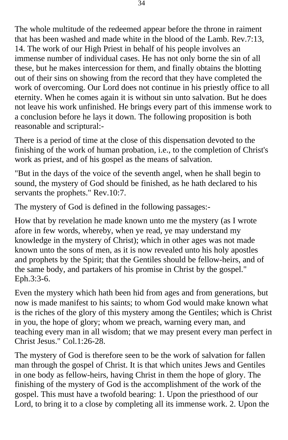The whole multitude of the redeemed appear before the throne in raiment that has been washed and made white in the blood of the Lamb. Rev.7:13, 14. The work of our High Priest in behalf of his people involves an immense number of individual cases. He has not only borne the sin of all these, but he makes intercession for them, and finally obtains the blotting out of their sins on showing from the record that they have completed the work of overcoming. Our Lord does not continue in his priestly office to all eternity. When he comes again it is without sin unto salvation. But he does not leave his work unfinished. He brings every part of this immense work to a conclusion before he lays it down. The following proposition is both reasonable and scriptural:-

There is a period of time at the close of this dispensation devoted to the finishing of the work of human probation, i.e., to the completion of Christ's work as priest, and of his gospel as the means of salvation.

"But in the days of the voice of the seventh angel, when he shall begin to sound, the mystery of God should be finished, as he hath declared to his servants the prophets." Rev.10:7.

The mystery of God is defined in the following passages:-

How that by revelation he made known unto me the mystery (as I wrote afore in few words, whereby, when ye read, ye may understand my knowledge in the mystery of Christ); which in other ages was not made known unto the sons of men, as it is now revealed unto his holy apostles and prophets by the Spirit; that the Gentiles should be fellow-heirs, and of the same body, and partakers of his promise in Christ by the gospel." Eph.3:3-6.

Even the mystery which hath been hid from ages and from generations, but now is made manifest to his saints; to whom God would make known what is the riches of the glory of this mystery among the Gentiles; which is Christ in you, the hope of glory; whom we preach, warning every man, and teaching every man in all wisdom; that we may present every man perfect in Christ Jesus." Col.1:26-28.

The mystery of God is therefore seen to be the work of salvation for fallen man through the gospel of Christ. It is that which unites Jews and Gentiles in one body as fellow-heirs, having Christ in them the hope of glory. The finishing of the mystery of God is the accomplishment of the work of the gospel. This must have a twofold bearing: 1. Upon the priesthood of our Lord, to bring it to a close by completing all its immense work. 2. Upon the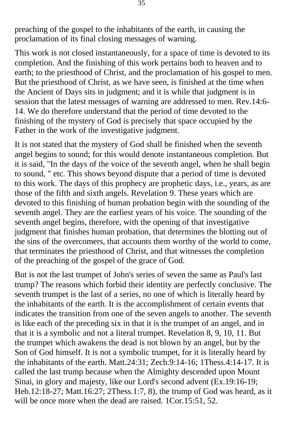preaching of the gospel to the inhabitants of the earth, in causing the proclamation of its final closing messages of warning.

This work is not closed instantaneously, for a space of time is devoted to its completion. And the finishing of this work pertains both to heaven and to earth; to the priesthood of Christ, and the proclamation of his gospel to men. But the priesthood of Christ, as we have seen, is finished at the time when the Ancient of Days sits in judgment; and it is while that judgment is in session that the latest messages of warning are addressed to men. Rev.14:6- 14. We do therefore understand that the period of time devoted to the finishing of the mystery of God is precisely that space occupied by the Father in the work of the investigative judgment.

It is not stated that the mystery of God shall be finished when the seventh angel begins to sound; for this would denote instantaneous completion. But it is said, "In the days of the voice of the seventh angel, when he shall begin to sound, " etc. This shows beyond dispute that a period of time is devoted to this work. The days of this prophecy are prophetic days, i.e., years, as are those of the fifth and sixth angels. Revelation 9. These years which are devoted to this finishing of human probation begin with the sounding of the seventh angel. They are the earliest years of his voice. The sounding of the seventh angel begins, therefore, with the opening of that investigative judgment that finishes human probation, that determines the blotting out of the sins of the overcomers, that accounts them worthy of the world to come, that terminates the priesthood of Christ, and that witnesses the completion of the preaching of the gospel of the grace of God.

But is not the last trumpet of John's series of seven the same as Paul's last trump? The reasons which forbid their identity are perfectly conclusive. The seventh trumpet is the last of a series, no one of which is literally heard by the inhabitants of the earth. It is the accomplishment of certain events that indicates the transition from one of the seven angels to another. The seventh is like each of the preceding six in that it is the trumpet of an angel, and in that it is a symbolic and not a literal trumpet. Revelation 8, 9, 10, 11. But the trumpet which awakens the dead is not blown by an angel, but by the Son of God himself. It is not a symbolic trumpet, for it is literally heard by the inhabitants of the earth. Matt.24:31; Zech.9:14-16; 1Thess.4:14-17. It is called the last trump because when the Almighty descended upon Mount Sinai, in glory and majesty, like our Lord's second advent (Ex.19:16-19; Heb.12:18-27; Matt.16:27; 2Thess.1:7, 8), the trump of God was heard, as it will be once more when the dead are raised. 1Cor.15:51, 52.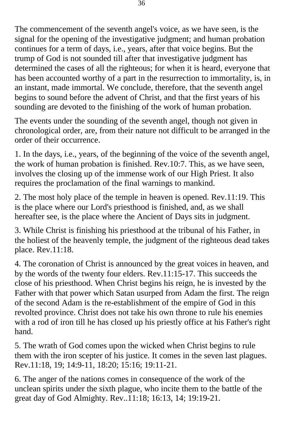The commencement of the seventh angel's voice, as we have seen, is the signal for the opening of the investigative judgment; and human probation continues for a term of days, i.e., years, after that voice begins. But the trump of God is not sounded till after that investigative judgment has determined the cases of all the righteous; for when it is heard, everyone that has been accounted worthy of a part in the resurrection to immortality, is, in an instant, made immortal. We conclude, therefore, that the seventh angel begins to sound before the advent of Christ, and that the first years of his sounding are devoted to the finishing of the work of human probation.

The events under the sounding of the seventh angel, though not given in chronological order, are, from their nature not difficult to be arranged in the order of their occurrence.

1. In the days, i.e., years, of the beginning of the voice of the seventh angel, the work of human probation is finished. Rev.10:7. This, as we have seen, involves the closing up of the immense work of our High Priest. It also requires the proclamation of the final warnings to mankind.

2. The most holy place of the temple in heaven is opened. Rev.11:19. This is the place where our Lord's priesthood is finished, and, as we shall hereafter see, is the place where the Ancient of Days sits in judgment.

3. While Christ is finishing his priesthood at the tribunal of his Father, in the holiest of the heavenly temple, the judgment of the righteous dead takes place. Rev.11:18.

4. The coronation of Christ is announced by the great voices in heaven, and by the words of the twenty four elders. Rev.11:15-17. This succeeds the close of his priesthood. When Christ begins his reign, he is invested by the Father with that power which Satan usurped from Adam the first. The reign of the second Adam is the re-establishment of the empire of God in this revolted province. Christ does not take his own throne to rule his enemies with a rod of iron till he has closed up his priestly office at his Father's right hand.

5. The wrath of God comes upon the wicked when Christ begins to rule them with the iron scepter of his justice. It comes in the seven last plagues. Rev.11:18, 19; 14:9-11, 18:20; 15:16; 19:11-21.

6. The anger of the nations comes in consequence of the work of the unclean spirits under the sixth plague, who incite them to the battle of the great day of God Almighty. Rev..11:18; 16:13, 14; 19:19-21.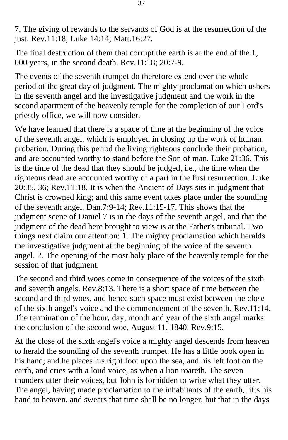7. The giving of rewards to the servants of God is at the resurrection of the just. Rev.11:18; Luke 14:14; Matt.16:27.

The final destruction of them that corrupt the earth is at the end of the 1, 000 years, in the second death. Rev.11:18; 20:7-9.

The events of the seventh trumpet do therefore extend over the whole period of the great day of judgment. The mighty proclamation which ushers in the seventh angel and the investigative judgment and the work in the second apartment of the heavenly temple for the completion of our Lord's priestly office, we will now consider.

We have learned that there is a space of time at the beginning of the voice of the seventh angel, which is employed in closing up the work of human probation. During this period the living righteous conclude their probation, and are accounted worthy to stand before the Son of man. Luke 21:36. This is the time of the dead that they should be judged, i.e., the time when the righteous dead are accounted worthy of a part in the first resurrection. Luke 20:35, 36; Rev.11:18. It is when the Ancient of Days sits in judgment that Christ is crowned king; and this same event takes place under the sounding of the seventh angel. Dan.7:9-14; Rev.11:15-17. This shows that the judgment scene of Daniel 7 is in the days of the seventh angel, and that the judgment of the dead here brought to view is at the Father's tribunal. Two things next claim our attention: 1. The mighty proclamation which heralds the investigative judgment at the beginning of the voice of the seventh angel. 2. The opening of the most holy place of the heavenly temple for the session of that judgment.

The second and third woes come in consequence of the voices of the sixth and seventh angels. Rev.8:13. There is a short space of time between the second and third woes, and hence such space must exist between the close of the sixth angel's voice and the commencement of the seventh. Rev.11:14. The termination of the hour, day, month and year of the sixth angel marks the conclusion of the second woe, August 11, 1840. Rev.9:15.

At the close of the sixth angel's voice a mighty angel descends from heaven to herald the sounding of the seventh trumpet. He has a little book open in his hand; and he places his right foot upon the sea, and his left foot on the earth, and cries with a loud voice, as when a lion roareth. The seven thunders utter their voices, but John is forbidden to write what they utter. The angel, having made proclamation to the inhabitants of the earth, lifts his hand to heaven, and swears that time shall be no longer, but that in the days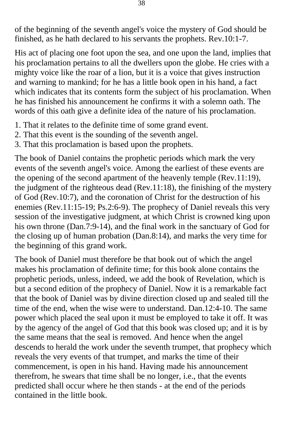of the beginning of the seventh angel's voice the mystery of God should be finished, as he hath declared to his servants the prophets. Rev.10:1-7.

His act of placing one foot upon the sea, and one upon the land, implies that his proclamation pertains to all the dwellers upon the globe. He cries with a mighty voice like the roar of a lion, but it is a voice that gives instruction and warning to mankind; for he has a little book open in his hand, a fact which indicates that its contents form the subject of his proclamation. When he has finished his announcement he confirms it with a solemn oath. The words of this oath give a definite idea of the nature of his proclamation.

- 1. That it relates to the definite time of some grand event.
- 2. That this event is the sounding of the seventh angel.
- 3. That this proclamation is based upon the prophets.

The book of Daniel contains the prophetic periods which mark the very events of the seventh angel's voice. Among the earliest of these events are the opening of the second apartment of the heavenly temple (Rev.11:19), the judgment of the righteous dead (Rev.11:18), the finishing of the mystery of God (Rev.10:7), and the coronation of Christ for the destruction of his enemies (Rev.11:15-19; Ps.2:6-9). The prophecy of Daniel reveals this very session of the investigative judgment, at which Christ is crowned king upon his own throne (Dan.7:9-14), and the final work in the sanctuary of God for the closing up of human probation (Dan.8:14), and marks the very time for the beginning of this grand work.

The book of Daniel must therefore be that book out of which the angel makes his proclamation of definite time; for this book alone contains the prophetic periods, unless, indeed, we add the book of Revelation, which is but a second edition of the prophecy of Daniel. Now it is a remarkable fact that the book of Daniel was by divine direction closed up and sealed till the time of the end, when the wise were to understand. Dan.12:4-10. The same power which placed the seal upon it must be employed to take it off. It was by the agency of the angel of God that this book was closed up; and it is by the same means that the seal is removed. And hence when the angel descends to herald the work under the seventh trumpet, that prophecy which reveals the very events of that trumpet, and marks the time of their commencement, is open in his hand. Having made his announcement therefrom, he swears that time shall be no longer, i.e., that the events predicted shall occur where he then stands - at the end of the periods contained in the little book.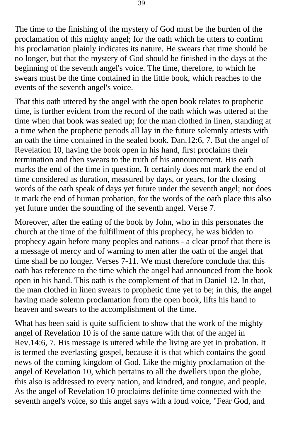The time to the finishing of the mystery of God must be the burden of the proclamation of this mighty angel; for the oath which he utters to confirm his proclamation plainly indicates its nature. He swears that time should be no longer, but that the mystery of God should be finished in the days at the beginning of the seventh angel's voice. The time, therefore, to which he swears must be the time contained in the little book, which reaches to the events of the seventh angel's voice.

That this oath uttered by the angel with the open book relates to prophetic time, is further evident from the record of the oath which was uttered at the time when that book was sealed up; for the man clothed in linen, standing at a time when the prophetic periods all lay in the future solemnly attests with an oath the time contained in the sealed book. Dan.12:6, 7. But the angel of Revelation 10, having the book open in his hand, first proclaims their termination and then swears to the truth of his announcement. His oath marks the end of the time in question. It certainly does not mark the end of time considered as duration, measured by days, or years, for the closing words of the oath speak of days yet future under the seventh angel; nor does it mark the end of human probation, for the words of the oath place this also yet future under the sounding of the seventh angel. Verse 7.

Moreover, after the eating of the book by John, who in this personates the church at the time of the fulfillment of this prophecy, he was bidden to prophecy again before many peoples and nations - a clear proof that there is a message of mercy and of warning to men after the oath of the angel that time shall be no longer. Verses 7-11. We must therefore conclude that this oath has reference to the time which the angel had announced from the book open in his hand. This oath is the complement of that in Daniel 12. In that, the man clothed in linen swears to prophetic time yet to be; in this, the angel having made solemn proclamation from the open book, lifts his hand to heaven and swears to the accomplishment of the time.

What has been said is quite sufficient to show that the work of the mighty angel of Revelation 10 is of the same nature with that of the angel in Rev.14:6, 7. His message is uttered while the living are yet in probation. It is termed the everlasting gospel, because it is that which contains the good news of the coming kingdom of God. Like the mighty proclamation of the angel of Revelation 10, which pertains to all the dwellers upon the globe, this also is addressed to every nation, and kindred, and tongue, and people. As the angel of Revelation 10 proclaims definite time connected with the seventh angel's voice, so this angel says with a loud voice, "Fear God, and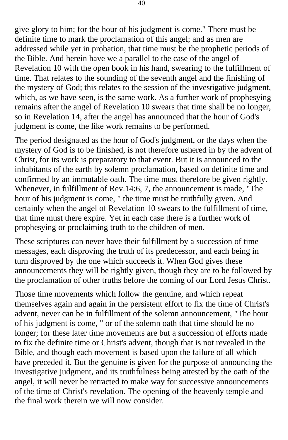give glory to him; for the hour of his judgment is come." There must be definite time to mark the proclamation of this angel; and as men are addressed while yet in probation, that time must be the prophetic periods of the Bible. And herein have we a parallel to the case of the angel of Revelation 10 with the open book in his hand, swearing to the fulfillment of time. That relates to the sounding of the seventh angel and the finishing of the mystery of God; this relates to the session of the investigative judgment, which, as we have seen, is the same work. As a further work of prophesying remains after the angel of Revelation 10 swears that time shall be no longer, so in Revelation 14, after the angel has announced that the hour of God's judgment is come, the like work remains to be performed.

The period designated as the hour of God's judgment, or the days when the mystery of God is to be finished, is not therefore ushered in by the advent of Christ, for its work is preparatory to that event. But it is announced to the inhabitants of the earth by solemn proclamation, based on definite time and confirmed by an immutable oath. The time must therefore be given rightly. Whenever, in fulfillment of Rev.14:6, 7, the announcement is made, "The hour of his judgment is come, " the time must be truthfully given. And certainly when the angel of Revelation 10 swears to the fulfillment of time, that time must there expire. Yet in each case there is a further work of prophesying or proclaiming truth to the children of men.

These scriptures can never have their fulfillment by a succession of time messages, each disproving the truth of its predecessor, and each being in turn disproved by the one which succeeds it. When God gives these announcements they will be rightly given, though they are to be followed by the proclamation of other truths before the coming of our Lord Jesus Christ.

Those time movements which follow the genuine, and which repeat themselves again and again in the persistent effort to fix the time of Christ's advent, never can be in fulfillment of the solemn announcement, "The hour of his judgment is come, " or of the solemn oath that time should be no longer; for these later time movements are but a succession of efforts made to fix the definite time or Christ's advent, though that is not revealed in the Bible, and though each movement is based upon the failure of all which have preceded it. But the genuine is given for the purpose of announcing the investigative judgment, and its truthfulness being attested by the oath of the angel, it will never be retracted to make way for successive announcements of the time of Christ's revelation. The opening of the heavenly temple and the final work therein we will now consider.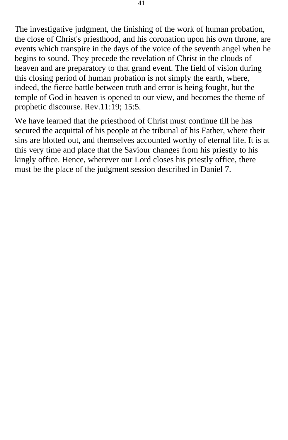The investigative judgment, the finishing of the work of human probation, the close of Christ's priesthood, and his coronation upon his own throne, are events which transpire in the days of the voice of the seventh angel when he begins to sound. They precede the revelation of Christ in the clouds of heaven and are preparatory to that grand event. The field of vision during this closing period of human probation is not simply the earth, where, indeed, the fierce battle between truth and error is being fought, but the temple of God in heaven is opened to our view, and becomes the theme of prophetic discourse. Rev.11:19; 15:5.

We have learned that the priesthood of Christ must continue till he has secured the acquittal of his people at the tribunal of his Father, where their sins are blotted out, and themselves accounted worthy of eternal life. It is at this very time and place that the Saviour changes from his priestly to his kingly office. Hence, wherever our Lord closes his priestly office, there must be the place of the judgment session described in Daniel 7.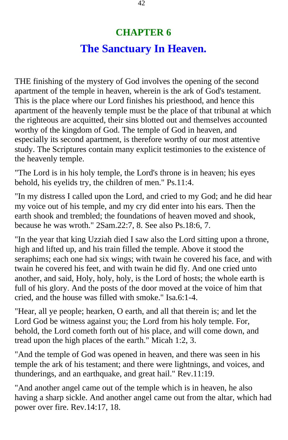# **CHAPTER 6 The Sanctuary In Heaven.**

THE finishing of the mystery of God involves the opening of the second apartment of the temple in heaven, wherein is the ark of God's testament. This is the place where our Lord finishes his priesthood, and hence this apartment of the heavenly temple must be the place of that tribunal at which the righteous are acquitted, their sins blotted out and themselves accounted worthy of the kingdom of God. The temple of God in heaven, and especially its second apartment, is therefore worthy of our most attentive study. The Scriptures contain many explicit testimonies to the existence of the heavenly temple.

"The Lord is in his holy temple, the Lord's throne is in heaven; his eyes behold, his eyelids try, the children of men." Ps.11:4.

"In my distress I called upon the Lord, and cried to my God; and he did hear my voice out of his temple, and my cry did enter into his ears. Then the earth shook and trembled; the foundations of heaven moved and shook, because he was wroth." 2Sam.22:7, 8. See also Ps.18:6, 7.

"In the year that king Uzziah died I saw also the Lord sitting upon a throne, high and lifted up, and his train filled the temple. Above it stood the seraphims; each one had six wings; with twain he covered his face, and with twain he covered his feet, and with twain he did fly. And one cried unto another, and said, Holy, holy, holy, is the Lord of hosts; the whole earth is full of his glory. And the posts of the door moved at the voice of him that cried, and the house was filled with smoke." Isa.6:1-4.

"Hear, all ye people; hearken, O earth, and all that therein is; and let the Lord God be witness against you; the Lord from his holy temple. For, behold, the Lord cometh forth out of his place, and will come down, and tread upon the high places of the earth." Micah 1:2, 3.

"And the temple of God was opened in heaven, and there was seen in his temple the ark of his testament; and there were lightnings, and voices, and thunderings, and an earthquake, and great hail." Rev.11:19.

"And another angel came out of the temple which is in heaven, he also having a sharp sickle. And another angel came out from the altar, which had power over fire. Rev.14:17, 18.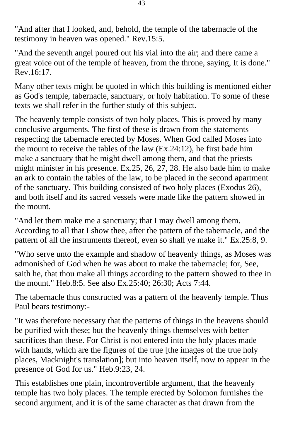"And after that I looked, and, behold, the temple of the tabernacle of the testimony in heaven was opened." Rev.15:5.

"And the seventh angel poured out his vial into the air; and there came a great voice out of the temple of heaven, from the throne, saying, It is done." Rev.16:17.

Many other texts might be quoted in which this building is mentioned either as God's temple, tabernacle, sanctuary, or holy habitation. To some of these texts we shall refer in the further study of this subject.

The heavenly temple consists of two holy places. This is proved by many conclusive arguments. The first of these is drawn from the statements respecting the tabernacle erected by Moses. When God called Moses into the mount to receive the tables of the law (Ex.24:12), he first bade him make a sanctuary that he might dwell among them, and that the priests might minister in his presence. Ex.25, 26, 27, 28. He also bade him to make an ark to contain the tables of the law, to be placed in the second apartment of the sanctuary. This building consisted of two holy places (Exodus 26), and both itself and its sacred vessels were made like the pattern showed in the mount.

"And let them make me a sanctuary; that I may dwell among them. According to all that I show thee, after the pattern of the tabernacle, and the pattern of all the instruments thereof, even so shall ye make it." Ex.25:8, 9.

"Who serve unto the example and shadow of heavenly things, as Moses was admonished of God when he was about to make the tabernacle; for, See, saith he, that thou make all things according to the pattern showed to thee in the mount." Heb.8:5. See also Ex.25:40; 26:30; Acts 7:44.

The tabernacle thus constructed was a pattern of the heavenly temple. Thus Paul bears testimony:-

"It was therefore necessary that the patterns of things in the heavens should be purified with these; but the heavenly things themselves with better sacrifices than these. For Christ is not entered into the holy places made with hands, which are the figures of the true [the images of the true holy places, Macknight's translation]; but into heaven itself, now to appear in the presence of God for us." Heb.9:23, 24.

This establishes one plain, incontrovertible argument, that the heavenly temple has two holy places. The temple erected by Solomon furnishes the second argument, and it is of the same character as that drawn from the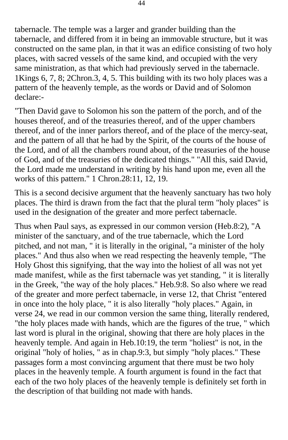tabernacle. The temple was a larger and grander building than the tabernacle, and differed from it in being an immovable structure, but it was constructed on the same plan, in that it was an edifice consisting of two holy places, with sacred vessels of the same kind, and occupied with the very same ministration, as that which had previously served in the tabernacle. 1Kings 6, 7, 8; 2Chron.3, 4, 5. This building with its two holy places was a pattern of the heavenly temple, as the words or David and of Solomon declare:-

"Then David gave to Solomon his son the pattern of the porch, and of the houses thereof, and of the treasuries thereof, and of the upper chambers thereof, and of the inner parlors thereof, and of the place of the mercy-seat, and the pattern of all that he had by the Spirit, of the courts of the house of the Lord, and of all the chambers round about, of the treasuries of the house of God, and of the treasuries of the dedicated things." "All this, said David, the Lord made me understand in writing by his hand upon me, even all the works of this pattern." 1 Chron.28:11, 12, 19.

This is a second decisive argument that the heavenly sanctuary has two holy places. The third is drawn from the fact that the plural term "holy places" is used in the designation of the greater and more perfect tabernacle.

Thus when Paul says, as expressed in our common version (Heb.8:2), "A minister of the sanctuary, and of the true tabernacle, which the Lord pitched, and not man, " it is literally in the original, "a minister of the holy places." And thus also when we read respecting the heavenly temple, "The Holy Ghost this signifying, that the way into the holiest of all was not yet made manifest, while as the first tabernacle was yet standing, " it is literally in the Greek, "the way of the holy places." Heb.9:8. So also where we read of the greater and more perfect tabernacle, in verse 12, that Christ "entered in once into the holy place, " it is also literally "holy places." Again, in verse 24, we read in our common version the same thing, literally rendered, "the holy places made with hands, which are the figures of the true, " which last word is plural in the original, showing that there are holy places in the heavenly temple. And again in Heb.10:19, the term "holiest" is not, in the original "holy of holies, " as in chap.9:3, but simply "holy places." These passages form a most convincing argument that there must be two holy places in the heavenly temple. A fourth argument is found in the fact that each of the two holy places of the heavenly temple is definitely set forth in the description of that building not made with hands.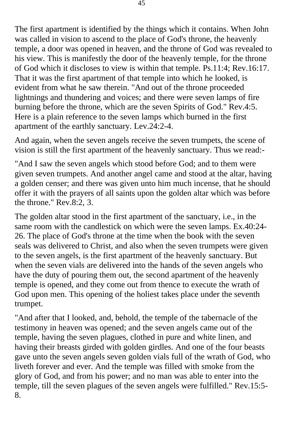The first apartment is identified by the things which it contains. When John was called in vision to ascend to the place of God's throne, the heavenly temple, a door was opened in heaven, and the throne of God was revealed to his view. This is manifestly the door of the heavenly temple, for the throne of God which it discloses to view is within that temple. Ps.11:4; Rev.16:17. That it was the first apartment of that temple into which he looked, is evident from what he saw therein. "And out of the throne proceeded lightnings and thundering and voices; and there were seven lamps of fire burning before the throne, which are the seven Spirits of God." Rev.4:5. Here is a plain reference to the seven lamps which burned in the first apartment of the earthly sanctuary. Lev.24:2-4.

And again, when the seven angels receive the seven trumpets, the scene of vision is still the first apartment of the heavenly sanctuary. Thus we read:-

"And I saw the seven angels which stood before God; and to them were given seven trumpets. And another angel came and stood at the altar, having a golden censer; and there was given unto him much incense, that he should offer it with the prayers of all saints upon the golden altar which was before the throne." Rev.8:2, 3.

The golden altar stood in the first apartment of the sanctuary, i.e., in the same room with the candlestick on which were the seven lamps. Ex.40:24- 26. The place of God's throne at the time when the book with the seven seals was delivered to Christ, and also when the seven trumpets were given to the seven angels, is the first apartment of the heavenly sanctuary. But when the seven vials are delivered into the hands of the seven angels who have the duty of pouring them out, the second apartment of the heavenly temple is opened, and they come out from thence to execute the wrath of God upon men. This opening of the holiest takes place under the seventh trumpet.

"And after that I looked, and, behold, the temple of the tabernacle of the testimony in heaven was opened; and the seven angels came out of the temple, having the seven plagues, clothed in pure and white linen, and having their breasts girded with golden girdles. And one of the four beasts gave unto the seven angels seven golden vials full of the wrath of God, who liveth forever and ever. And the temple was filled with smoke from the glory of God, and from his power; and no man was able to enter into the temple, till the seven plagues of the seven angels were fulfilled." Rev.15:5- 8.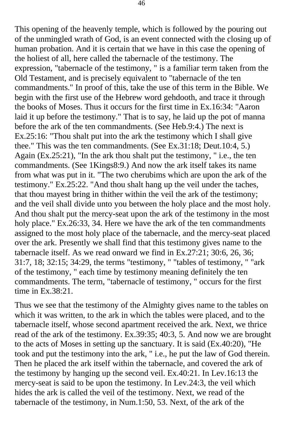This opening of the heavenly temple, which is followed by the pouring out of the unmingled wrath of God, is an event connected with the closing up of human probation. And it is certain that we have in this case the opening of the holiest of all, here called the tabernacle of the testimony. The expression, "tabernacle of the testimony, " is a familiar term taken from the Old Testament, and is precisely equivalent to "tabernacle of the ten commandments." In proof of this, take the use of this term in the Bible. We begin with the first use of the Hebrew word gehdooth, and trace it through the books of Moses. Thus it occurs for the first time in Ex.16:34: "Aaron laid it up before the testimony." That is to say, he laid up the pot of manna before the ark of the ten commandments. (See Heb.9:4.) The next is Ex.25:16: "Thou shalt put into the ark the testimony which I shall give thee." This was the ten commandments. (See Ex.31:18; Deut.10:4, 5.) Again (Ex.25:21), "In the ark thou shalt put the testimony, " i.e., the ten commandments. (See 1Kings8:9.) And now the ark itself takes its name from what was put in it. "The two cherubims which are upon the ark of the testimony." Ex.25:22. "And thou shalt hang up the veil under the taches, that thou mayest bring in thither within the veil the ark of the testimony; and the veil shall divide unto you between the holy place and the most holy. And thou shalt put the mercy-seat upon the ark of the testimony in the most holy place." Ex.26:33, 34. Here we have the ark of the ten commandments assigned to the most holy place of the tabernacle, and the mercy-seat placed over the ark. Presently we shall find that this testimony gives name to the tabernacle itself. As we read onward we find in Ex.27:21; 30:6, 26, 36; 31:7, 18; 32:15; 34:29, the terms "testimony, " "tables of testimony, " "ark of the testimony, " each time by testimony meaning definitely the ten commandments. The term, "tabernacle of testimony, " occurs for the first time in Ex.38:21.

Thus we see that the testimony of the Almighty gives name to the tables on which it was written, to the ark in which the tables were placed, and to the tabernacle itself, whose second apartment received the ark. Next, we thrice read of the ark of the testimony. Ex.39:35; 40:3, 5. And now we are brought to the acts of Moses in setting up the sanctuary. It is said (Ex.40:20), "He took and put the testimony into the ark, " i.e., he put the law of God therein. Then he placed the ark itself within the tabernacle, and covered the ark of the testimony by hanging up the second veil. Ex.40:21. In Lev.16:13 the mercy-seat is said to be upon the testimony. In Lev.24:3, the veil which hides the ark is called the veil of the testimony. Next, we read of the tabernacle of the testimony, in Num.1:50, 53. Next, of the ark of the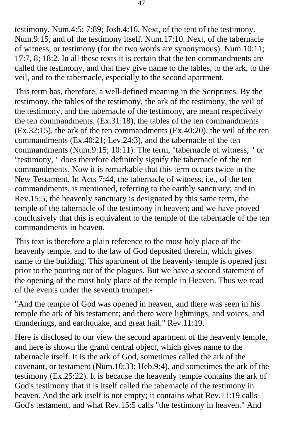testimony. Num.4:5; 7:89; Josh.4:16. Next, of the tent of the testimony. Num.9:15, and of the testimony itself. Num.17:10. Next, of the tabernacle of witness, or testimony (for the two words are synonymous). Num.10:11; 17:7, 8; 18:2. In all these texts it is certain that the ten commandments are called the testimony, and that they give name to the tables, to the ark, to the veil, and to the tabernacle, especially to the second apartment.

This term has, therefore, a well-defined meaning in the Scriptures. By the testimony, the tables of the testimony, the ark of the testimony, the veil of the testimony, and the tabernacle of the testimony, are meant respectively the ten commandments. (Ex.31:18), the tables of the ten commandments (Ex.32:15), the ark of the ten commandments (Ex.40:20), the veil of the ten commandments (Ex.40:21; Lev.24:3), and the tabernacle of the ten commandments (Num.9:15; 10:11). The term, "tabernacle of witness, " or "testimony, " does therefore definitely signify the tabernacle of the ten commandments. Now it is remarkable that this term occurs twice in the New Testament. In Acts 7:44, the tabernacle of witness, i.e., of the ten commandments, is mentioned, referring to the earthly sanctuary; and in Rev.15:5, the heavenly sanctuary is designated by this same term, the temple of the tabernacle of the testimony in heaven; and we have proved conclusively that this is equivalent to the temple of the tabernacle of the ten commandments in heaven.

This text is therefore a plain reference to the most holy place of the heavenly temple, and to the law of God deposited therein, which gives name to the building. This apartment of the heavenly temple is opened just prior to the pouring out of the plagues. But we have a second statement of the opening of the most holy place of the temple in Heaven. Thus we read of the events under the seventh trumpet:-

"And the temple of God was opened in heaven, and there was seen in his temple the ark of his testament; and there were lightnings, and voices, and thunderings, and earthquake, and great hail." Rev.11:19.

Here is disclosed to our view the second apartment of the heavenly temple, and here is shown the grand central object, which gives name to the tabernacle itself. It is the ark of God, sometimes called the ark of the covenant, or testament (Num.10:33; Heb.9:4), and sometimes the ark of the testimony (Ex.25:22). It is because the heavenly temple contains the ark of God's testimony that it is itself called the tabernacle of the testimony in heaven. And the ark itself is not empty; it contains what Rev.11:19 calls God's testament, and what Rev.15:5 calls "the testimony in heaven." And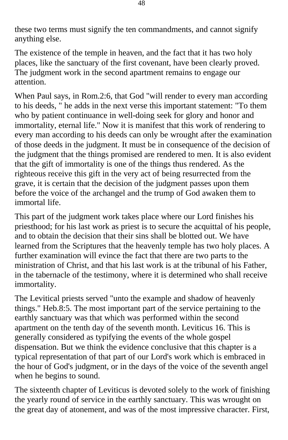these two terms must signify the ten commandments, and cannot signify anything else.

The existence of the temple in heaven, and the fact that it has two holy places, like the sanctuary of the first covenant, have been clearly proved. The judgment work in the second apartment remains to engage our attention.

When Paul says, in Rom.2:6, that God "will render to every man according to his deeds, " he adds in the next verse this important statement: "To them who by patient continuance in well-doing seek for glory and honor and immortality, eternal life." Now it is manifest that this work of rendering to every man according to his deeds can only be wrought after the examination of those deeds in the judgment. It must be in consequence of the decision of the judgment that the things promised are rendered to men. It is also evident that the gift of immortality is one of the things thus rendered. As the righteous receive this gift in the very act of being resurrected from the grave, it is certain that the decision of the judgment passes upon them before the voice of the archangel and the trump of God awaken them to immortal life.

This part of the judgment work takes place where our Lord finishes his priesthood; for his last work as priest is to secure the acquittal of his people, and to obtain the decision that their sins shall be blotted out. We have learned from the Scriptures that the heavenly temple has two holy places. A further examination will evince the fact that there are two parts to the ministration of Christ, and that his last work is at the tribunal of his Father, in the tabernacle of the testimony, where it is determined who shall receive immortality.

The Levitical priests served "unto the example and shadow of heavenly things." Heb.8:5. The most important part of the service pertaining to the earthly sanctuary was that which was performed within the second apartment on the tenth day of the seventh month. Leviticus 16. This is generally considered as typifying the events of the whole gospel dispensation. But we think the evidence conclusive that this chapter is a typical representation of that part of our Lord's work which is embraced in the hour of God's judgment, or in the days of the voice of the seventh angel when he begins to sound.

The sixteenth chapter of Leviticus is devoted solely to the work of finishing the yearly round of service in the earthly sanctuary. This was wrought on the great day of atonement, and was of the most impressive character. First,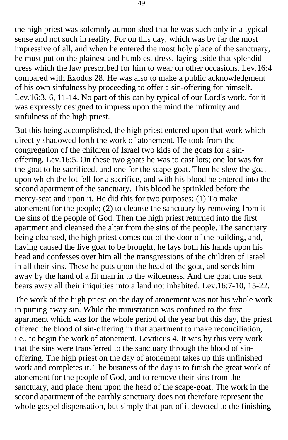the high priest was solemnly admonished that he was such only in a typical sense and not such in reality. For on this day, which was by far the most impressive of all, and when he entered the most holy place of the sanctuary, he must put on the plainest and humblest dress, laying aside that splendid dress which the law prescribed for him to wear on other occasions. Lev.16:4 compared with Exodus 28. He was also to make a public acknowledgment of his own sinfulness by proceeding to offer a sin-offering for himself. Lev.16:3, 6, 11-14. No part of this can by typical of our Lord's work, for it was expressly designed to impress upon the mind the infirmity and sinfulness of the high priest.

But this being accomplished, the high priest entered upon that work which directly shadowed forth the work of atonement. He took from the congregation of the children of Israel two kids of the goats for a sinoffering. Lev.16:5. On these two goats he was to cast lots; one lot was for the goat to be sacrificed, and one for the scape-goat. Then he slew the goat upon which the lot fell for a sacrifice, and with his blood he entered into the second apartment of the sanctuary. This blood he sprinkled before the mercy-seat and upon it. He did this for two purposes: (1) To make atonement for the people; (2) to cleanse the sanctuary by removing from it the sins of the people of God. Then the high priest returned into the first apartment and cleansed the altar from the sins of the people. The sanctuary being cleansed, the high priest comes out of the door of the building, and, having caused the live goat to be brought, he lays both his hands upon his head and confesses over him all the transgressions of the children of Israel in all their sins. These he puts upon the head of the goat, and sends him away by the hand of a fit man in to the wilderness. And the goat thus sent bears away all their iniquities into a land not inhabited. Lev.16:7-10, 15-22.

The work of the high priest on the day of atonement was not his whole work in putting away sin. While the ministration was confined to the first apartment which was for the whole period of the year but this day, the priest offered the blood of sin-offering in that apartment to make reconciliation, i.e., to begin the work of atonement. Leviticus 4. It was by this very work that the sins were transferred to the sanctuary through the blood of sinoffering. The high priest on the day of atonement takes up this unfinished work and completes it. The business of the day is to finish the great work of atonement for the people of God, and to remove their sins from the sanctuary, and place them upon the head of the scape-goat. The work in the second apartment of the earthly sanctuary does not therefore represent the whole gospel dispensation, but simply that part of it devoted to the finishing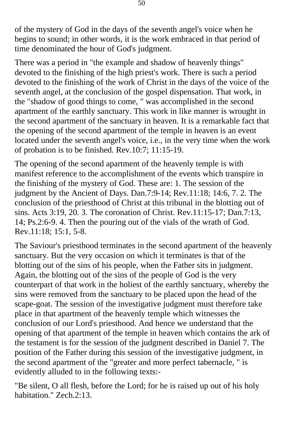of the mystery of God in the days of the seventh angel's voice when he begins to sound; in other words, it is the work embraced in that period of time denominated the hour of God's judgment.

There was a period in "the example and shadow of heavenly things" devoted to the finishing of the high priest's work. There is such a period devoted to the finishing of the work of Christ in the days of the voice of the seventh angel, at the conclusion of the gospel dispensation. That work, in the "shadow of good things to come, " was accomplished in the second apartment of the earthly sanctuary. This work in like manner is wrought in the second apartment of the sanctuary in heaven. It is a remarkable fact that the opening of the second apartment of the temple in heaven is an event located under the seventh angel's voice, i.e., in the very time when the work of probation is to be finished. Rev.10:7; 11:15-19.

The opening of the second apartment of the heavenly temple is with manifest reference to the accomplishment of the events which transpire in the finishing of the mystery of God. These are: 1. The session of the judgment by the Ancient of Days. Dan.7:9-14; Rev.11:18; 14:6, 7. 2. The conclusion of the priesthood of Christ at this tribunal in the blotting out of sins. Acts 3:19, 20. 3. The coronation of Christ. Rev.11:15-17; Dan.7:13, 14; Ps.2:6-9. 4. Then the pouring out of the vials of the wrath of God. Rev.11:18; 15:1, 5-8.

The Saviour's priesthood terminates in the second apartment of the heavenly sanctuary. But the very occasion on which it terminates is that of the blotting out of the sins of his people, when the Father sits in judgment. Again, the blotting out of the sins of the people of God is the very counterpart of that work in the holiest of the earthly sanctuary, whereby the sins were removed from the sanctuary to be placed upon the head of the scape-goat. The session of the investigative judgment must therefore take place in that apartment of the heavenly temple which witnesses the conclusion of our Lord's priesthood. And hence we understand that the opening of that apartment of the temple in heaven which contains the ark of the testament is for the session of the judgment described in Daniel 7. The position of the Father during this session of the investigative judgment, in the second apartment of the "greater and more perfect tabernacle, " is evidently alluded to in the following texts:-

"Be silent, O all flesh, before the Lord; for he is raised up out of his holy habitation." Zech.2:13.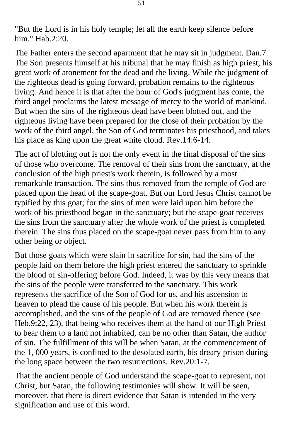"But the Lord is in his holy temple; let all the earth keep silence before him." Hab.2:20.

The Father enters the second apartment that he may sit in judgment. Dan.7. The Son presents himself at his tribunal that he may finish as high priest, his great work of atonement for the dead and the living. While the judgment of the righteous dead is going forward, probation remains to the righteous living. And hence it is that after the hour of God's judgment has come, the third angel proclaims the latest message of mercy to the world of mankind. But when the sins of the righteous dead have been blotted out, and the righteous living have been prepared for the close of their probation by the work of the third angel, the Son of God terminates his priesthood, and takes his place as king upon the great white cloud. Rev.14:6-14.

The act of blotting out is not the only event in the final disposal of the sins of those who overcome. The removal of their sins from the sanctuary, at the conclusion of the high priest's work therein, is followed by a most remarkable transaction. The sins thus removed from the temple of God are placed upon the head of the scape-goat. But our Lord Jesus Christ cannot be typified by this goat; for the sins of men were laid upon him before the work of his priesthood began in the sanctuary; but the scape-goat receives the sins from the sanctuary after the whole work of the priest is completed therein. The sins thus placed on the scape-goat never pass from him to any other being or object.

But those goats which were slain in sacrifice for sin, had the sins of the people laid on them before the high priest entered the sanctuary to sprinkle the blood of sin-offering before God. Indeed, it was by this very means that the sins of the people were transferred to the sanctuary. This work represents the sacrifice of the Son of God for us, and his ascension to heaven to plead the cause of his people. But when his work therein is accomplished, and the sins of the people of God are removed thence (see Heb.9:22, 23), that being who receives them at the hand of our High Priest to bear them to a land not inhabited, can be no other than Satan, the author of sin. The fulfillment of this will be when Satan, at the commencement of the 1, 000 years, is confined to the desolated earth, his dreary prison during the long space between the two resurrections. Rev.20:1-7.

That the ancient people of God understand the scape-goat to represent, not Christ, but Satan, the following testimonies will show. It will be seen, moreover, that there is direct evidence that Satan is intended in the very signification and use of this word.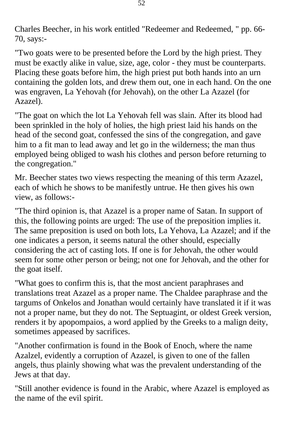Charles Beecher, in his work entitled "Redeemer and Redeemed, " pp. 66 70, says:-

"Two goats were to be presented before the Lord by the high priest. They must be exactly alike in value, size, age, color - they must be counterparts. Placing these goats before him, the high priest put both hands into an urn containing the golden lots, and drew them out, one in each hand. On the one was engraven, La Yehovah (for Jehovah), on the other La Azazel (for Azazel).

"The goat on which the lot La Yehovah fell was slain. After its blood had been sprinkled in the holy of holies, the high priest laid his hands on the head of the second goat, confessed the sins of the congregation, and gave him to a fit man to lead away and let go in the wilderness; the man thus employed being obliged to wash his clothes and person before returning to the congregation."

Mr. Beecher states two views respecting the meaning of this term Azazel, each of which he shows to be manifestly untrue. He then gives his own view, as follows:-

"The third opinion is, that Azazel is a proper name of Satan. In support of this, the following points are urged: The use of the preposition implies it. The same preposition is used on both lots, La Yehova, La Azazel; and if the one indicates a person, it seems natural the other should, especially considering the act of casting lots. If one is for Jehovah, the other would seem for some other person or being; not one for Jehovah, and the other for the goat itself.

"What goes to confirm this is, that the most ancient paraphrases and translations treat Azazel as a proper name. The Chaldee paraphrase and the targums of Onkelos and Jonathan would certainly have translated it if it was not a proper name, but they do not. The Septuagint, or oldest Greek version, renders it by apopompaios, a word applied by the Greeks to a malign deity, sometimes appeased by sacrifices.

"Another confirmation is found in the Book of Enoch, where the name Azalzel, evidently a corruption of Azazel, is given to one of the fallen angels, thus plainly showing what was the prevalent understanding of the Jews at that day.

"Still another evidence is found in the Arabic, where Azazel is employed as the name of the evil spirit.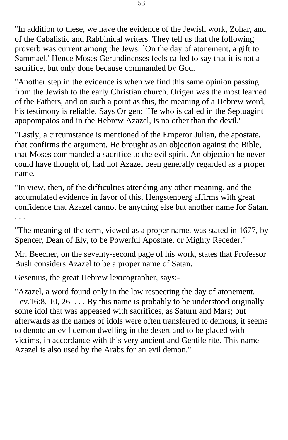"In addition to these, we have the evidence of the Jewish work, Zohar, and of the Cabalistic and Rabbinical writers. They tell us that the following proverb was current among the Jews: `On the day of atonement, a gift to Sammael.' Hence Moses Gerundinenses feels called to say that it is not a sacrifice, but only done because commanded by God.

"Another step in the evidence is when we find this same opinion passing from the Jewish to the early Christian church. Origen was the most learned of the Fathers, and on such a point as this, the meaning of a Hebrew word, his testimony is reliable. Says Origen: `He who is called in the Septuagint apopompaios and in the Hebrew Azazel, is no other than the devil.'

"Lastly, a circumstance is mentioned of the Emperor Julian, the apostate, that confirms the argument. He brought as an objection against the Bible, that Moses commanded a sacrifice to the evil spirit. An objection he never could have thought of, had not Azazel been generally regarded as a proper name.

"In view, then, of the difficulties attending any other meaning, and the accumulated evidence in favor of this, Hengstenberg affirms with great confidence that Azazel cannot be anything else but another name for Satan.

. . .

"The meaning of the term, viewed as a proper name, was stated in 1677, by Spencer, Dean of Ely, to be Powerful Apostate, or Mighty Receder."

Mr. Beecher, on the seventy-second page of his work, states that Professor Bush considers Azazel to be a proper name of Satan.

Gesenius, the great Hebrew lexicographer, says:-

"Azazel, a word found only in the law respecting the day of atonement. Lev.16:8, 10, 26.  $\dots$  By this name is probably to be understood originally some idol that was appeased with sacrifices, as Saturn and Mars; but afterwards as the names of idols were often transferred to demons, it seems to denote an evil demon dwelling in the desert and to be placed with victims, in accordance with this very ancient and Gentile rite. This name Azazel is also used by the Arabs for an evil demon."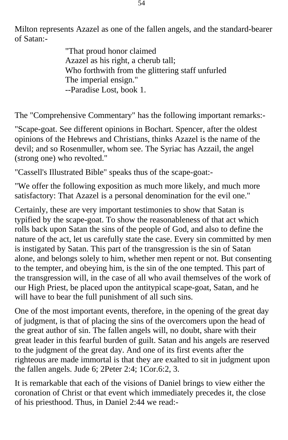Milton represents Azazel as one of the fallen angels, and the standard-bearer of Satan:-

> "That proud honor claimed Azazel as his right, a cherub tall; Who forthwith from the glittering staff unfurled The imperial ensign." --Paradise Lost, book 1.

The "Comprehensive Commentary" has the following important remarks:-

"Scape-goat. See different opinions in Bochart. Spencer, after the oldest opinions of the Hebrews and Christians, thinks Azazel is the name of the devil; and so Rosenmuller, whom see. The Syriac has Azzail, the angel (strong one) who revolted."

"Cassell's Illustrated Bible" speaks thus of the scape-goat:-

"We offer the following exposition as much more likely, and much more satisfactory: That Azazel is a personal denomination for the evil one."

Certainly, these are very important testimonies to show that Satan is typified by the scape-goat. To show the reasonableness of that act which rolls back upon Satan the sins of the people of God, and also to define the nature of the act, let us carefully state the case. Every sin committed by men is instigated by Satan. This part of the transgression is the sin of Satan alone, and belongs solely to him, whether men repent or not. But consenting to the tempter, and obeying him, is the sin of the one tempted. This part of the transgression will, in the case of all who avail themselves of the work of our High Priest, be placed upon the antitypical scape-goat, Satan, and he will have to bear the full punishment of all such sins.

One of the most important events, therefore, in the opening of the great day of judgment, is that of placing the sins of the overcomers upon the head of the great author of sin. The fallen angels will, no doubt, share with their great leader in this fearful burden of guilt. Satan and his angels are reserved to the judgment of the great day. And one of its first events after the righteous are made immortal is that they are exalted to sit in judgment upon the fallen angels. Jude 6; 2Peter 2:4; 1Cor.6:2, 3.

It is remarkable that each of the visions of Daniel brings to view either the coronation of Christ or that event which immediately precedes it, the close of his priesthood. Thus, in Daniel 2:44 we read:-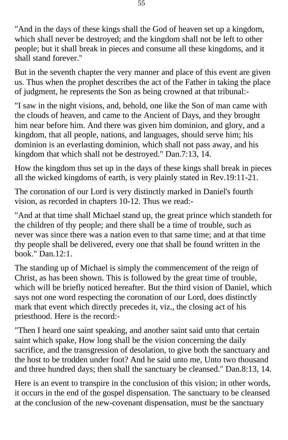"And in the days of these kings shall the God of heaven set up a kingdom, which shall never be destroyed; and the kingdom shall not be left to other people; but it shall break in pieces and consume all these kingdoms, and it shall stand forever."

But in the seventh chapter the very manner and place of this event are given us. Thus when the prophet describes the act of the Father in taking the place of judgment, he represents the Son as being crowned at that tribunal:-

"I saw in the night visions, and, behold, one like the Son of man came with the clouds of heaven, and came to the Ancient of Days, and they brought him near before him. And there was given him dominion, and glory, and a kingdom, that all people, nations, and languages, should serve him; his dominion is an everlasting dominion, which shall not pass away, and his kingdom that which shall not be destroyed." Dan.7:13, 14.

How the kingdom thus set up in the days of these kings shall break in pieces all the wicked kingdoms of earth, is very plainly stated in Rev.19:11-21.

The coronation of our Lord is very distinctly marked in Daniel's fourth vision, as recorded in chapters 10-12. Thus we read:-

"And at that time shall Michael stand up, the great prince which standeth for the children of thy people; and there shall be a time of trouble, such as never was since there was a nation even to that same time; and at that time thy people shall be delivered, every one that shall be found written in the book." Dan.12:1.

The standing up of Michael is simply the commencement of the reign of Christ, as has been shown. This is followed by the great time of trouble, which will be briefly noticed hereafter. But the third vision of Daniel, which says not one word respecting the coronation of our Lord, does distinctly mark that event which directly precedes it, viz., the closing act of his priesthood. Here is the record:-

"Then I heard one saint speaking, and another saint said unto that certain saint which spake, How long shall be the vision concerning the daily sacrifice, and the transgression of desolation, to give both the sanctuary and the host to be trodden under foot? And he said unto me, Unto two thousand and three hundred days; then shall the sanctuary be cleansed." Dan.8:13, 14.

Here is an event to transpire in the conclusion of this vision; in other words, it occurs in the end of the gospel dispensation. The sanctuary to be cleansed at the conclusion of the new-covenant dispensation, must be the sanctuary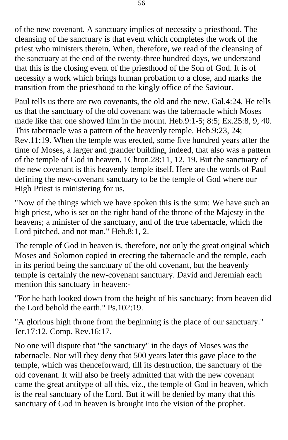of the new covenant. A sanctuary implies of necessity a priesthood. The cleansing of the sanctuary is that event which completes the work of the priest who ministers therein. When, therefore, we read of the cleansing of the sanctuary at the end of the twenty-three hundred days, we understand that this is the closing event of the priesthood of the Son of God. It is of necessity a work which brings human probation to a close, and marks the transition from the priesthood to the kingly office of the Saviour.

Paul tells us there are two covenants, the old and the new. Gal.4:24. He tells us that the sanctuary of the old covenant was the tabernacle which Moses made like that one showed him in the mount. Heb.9:1-5; 8:5; Ex.25:8, 9, 40. This tabernacle was a pattern of the heavenly temple. Heb.9:23, 24; Rev.11:19. When the temple was erected, some five hundred years after the time of Moses, a larger and grander building, indeed, that also was a pattern of the temple of God in heaven. 1Chron.28:11, 12, 19. But the sanctuary of the new covenant is this heavenly temple itself. Here are the words of Paul defining the new-covenant sanctuary to be the temple of God where our High Priest is ministering for us.

"Now of the things which we have spoken this is the sum: We have such an high priest, who is set on the right hand of the throne of the Majesty in the heavens; a minister of the sanctuary, and of the true tabernacle, which the Lord pitched, and not man." Heb.8:1, 2.

The temple of God in heaven is, therefore, not only the great original which Moses and Solomon copied in erecting the tabernacle and the temple, each in its period being the sanctuary of the old covenant, but the heavenly temple is certainly the new-covenant sanctuary. David and Jeremiah each mention this sanctuary in heaven:-

"For he hath looked down from the height of his sanctuary; from heaven did the Lord behold the earth." Ps.102:19.

"A glorious high throne from the beginning is the place of our sanctuary." Jer.17:12. Comp. Rev.16:17.

No one will dispute that "the sanctuary" in the days of Moses was the tabernacle. Nor will they deny that 500 years later this gave place to the temple, which was thenceforward, till its destruction, the sanctuary of the old covenant. It will also be freely admitted that with the new covenant came the great antitype of all this, viz., the temple of God in heaven, which is the real sanctuary of the Lord. But it will be denied by many that this sanctuary of God in heaven is brought into the vision of the prophet.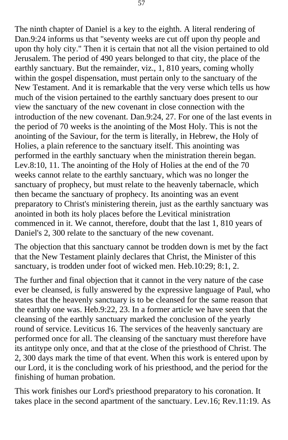The ninth chapter of Daniel is a key to the eighth. A literal rendering of Dan.9:24 informs us that "seventy weeks are cut off upon thy people and upon thy holy city." Then it is certain that not all the vision pertained to old Jerusalem. The period of 490 years belonged to that city, the place of the earthly sanctuary. But the remainder, viz., 1, 810 years, coming wholly within the gospel dispensation, must pertain only to the sanctuary of the New Testament. And it is remarkable that the very verse which tells us how much of the vision pertained to the earthly sanctuary does present to our view the sanctuary of the new covenant in close connection with the introduction of the new covenant. Dan.9:24, 27. For one of the last events in the period of 70 weeks is the anointing of the Most Holy. This is not the anointing of the Saviour, for the term is literally, in Hebrew, the Holy of Holies, a plain reference to the sanctuary itself. This anointing was performed in the earthly sanctuary when the ministration therein began. Lev.8:10, 11. The anointing of the Holy of Holies at the end of the 70 weeks cannot relate to the earthly sanctuary, which was no longer the sanctuary of prophecy, but must relate to the heavenly tabernacle, which then became the sanctuary of prophecy. Its anointing was an event preparatory to Christ's ministering therein, just as the earthly sanctuary was anointed in both its holy places before the Levitical ministration commenced in it. We cannot, therefore, doubt that the last 1, 810 years of Daniel's 2, 300 relate to the sanctuary of the new covenant.

The objection that this sanctuary cannot be trodden down is met by the fact that the New Testament plainly declares that Christ, the Minister of this sanctuary, is trodden under foot of wicked men. Heb.10:29; 8:1, 2.

The further and final objection that it cannot in the very nature of the case ever be cleansed, is fully answered by the expressive language of Paul, who states that the heavenly sanctuary is to be cleansed for the same reason that the earthly one was. Heb.9:22, 23. In a former article we have seen that the cleansing of the earthly sanctuary marked the conclusion of the yearly round of service. Leviticus 16. The services of the heavenly sanctuary are performed once for all. The cleansing of the sanctuary must therefore have its antitype only once, and that at the close of the priesthood of Christ. The 2, 300 days mark the time of that event. When this work is entered upon by our Lord, it is the concluding work of his priesthood, and the period for the finishing of human probation.

This work finishes our Lord's priesthood preparatory to his coronation. It takes place in the second apartment of the sanctuary. Lev.16; Rev.11:19. As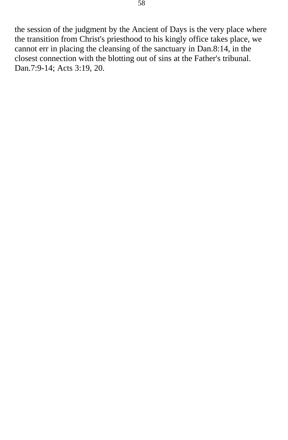the session of the judgment by the Ancient of Days is the very place where the transition from Christ's priesthood to his kingly office takes place, we cannot err in placing the cleansing of the sanctuary in Dan.8:14, in the closest connection with the blotting out of sins at the Father's tribunal. Dan.7:9-14; Acts 3:19, 20.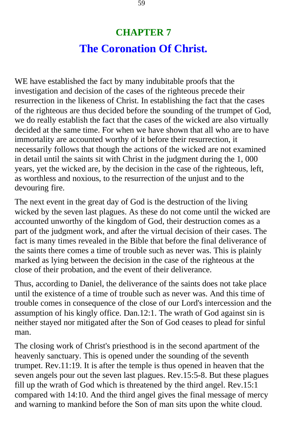## **CHAPTER 7 The Coronation Of Christ.**

WE have established the fact by many indubitable proofs that the investigation and decision of the cases of the righteous precede their resurrection in the likeness of Christ. In establishing the fact that the cases of the righteous are thus decided before the sounding of the trumpet of God, we do really establish the fact that the cases of the wicked are also virtually decided at the same time. For when we have shown that all who are to have immortality are accounted worthy of it before their resurrection, it necessarily follows that though the actions of the wicked are not examined in detail until the saints sit with Christ in the judgment during the 1, 000 years, yet the wicked are, by the decision in the case of the righteous, left, as worthless and noxious, to the resurrection of the unjust and to the devouring fire.

The next event in the great day of God is the destruction of the living wicked by the seven last plagues. As these do not come until the wicked are accounted unworthy of the kingdom of God, their destruction comes as a part of the judgment work, and after the virtual decision of their cases. The fact is many times revealed in the Bible that before the final deliverance of the saints there comes a time of trouble such as never was. This is plainly marked as lying between the decision in the case of the righteous at the close of their probation, and the event of their deliverance.

Thus, according to Daniel, the deliverance of the saints does not take place until the existence of a time of trouble such as never was. And this time of trouble comes in consequence of the close of our Lord's intercession and the assumption of his kingly office. Dan.12:1. The wrath of God against sin is neither stayed nor mitigated after the Son of God ceases to plead for sinful man.

The closing work of Christ's priesthood is in the second apartment of the heavenly sanctuary. This is opened under the sounding of the seventh trumpet. Rev.11:19. It is after the temple is thus opened in heaven that the seven angels pour out the seven last plagues. Rev.15:5-8. But these plagues fill up the wrath of God which is threatened by the third angel. Rev.15:1 compared with 14:10. And the third angel gives the final message of mercy and warning to mankind before the Son of man sits upon the white cloud.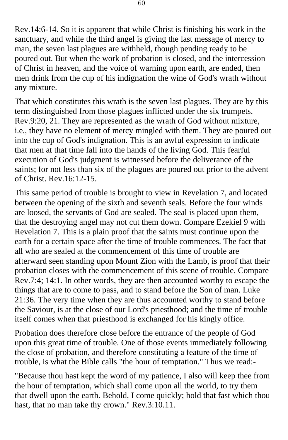Rev.14:6-14. So it is apparent that while Christ is finishing his work in the sanctuary, and while the third angel is giving the last message of mercy to man, the seven last plagues are withheld, though pending ready to be poured out. But when the work of probation is closed, and the intercession of Christ in heaven, and the voice of warning upon earth, are ended, then men drink from the cup of his indignation the wine of God's wrath without any mixture.

That which constitutes this wrath is the seven last plagues. They are by this term distinguished from those plagues inflicted under the six trumpets. Rev.9:20, 21. They are represented as the wrath of God without mixture, i.e., they have no element of mercy mingled with them. They are poured out into the cup of God's indignation. This is an awful expression to indicate that men at that time fall into the hands of the living God. This fearful execution of God's judgment is witnessed before the deliverance of the saints; for not less than six of the plagues are poured out prior to the advent of Christ. Rev.16:12-15.

This same period of trouble is brought to view in Revelation 7, and located between the opening of the sixth and seventh seals. Before the four winds are loosed, the servants of God are sealed. The seal is placed upon them, that the destroying angel may not cut them down. Compare Ezekiel 9 with Revelation 7. This is a plain proof that the saints must continue upon the earth for a certain space after the time of trouble commences. The fact that all who are sealed at the commencement of this time of trouble are afterward seen standing upon Mount Zion with the Lamb, is proof that their probation closes with the commencement of this scene of trouble. Compare Rev.7:4; 14:1. In other words, they are then accounted worthy to escape the things that are to come to pass, and to stand before the Son of man. Luke 21:36. The very time when they are thus accounted worthy to stand before the Saviour, is at the close of our Lord's priesthood; and the time of trouble itself comes when that priesthood is exchanged for his kingly office.

Probation does therefore close before the entrance of the people of God upon this great time of trouble. One of those events immediately following the close of probation, and therefore constituting a feature of the time of trouble, is what the Bible calls "the hour of temptation." Thus we read:-

"Because thou hast kept the word of my patience, I also will keep thee from the hour of temptation, which shall come upon all the world, to try them that dwell upon the earth. Behold, I come quickly; hold that fast which thou hast, that no man take thy crown." Rev.3:10.11.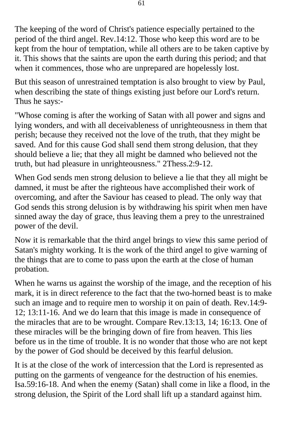The keeping of the word of Christ's patience especially pertained to the period of the third angel. Rev.14:12. Those who keep this word are to be kept from the hour of temptation, while all others are to be taken captive by it. This shows that the saints are upon the earth during this period; and that when it commences, those who are unprepared are hopelessly lost.

But this season of unrestrained temptation is also brought to view by Paul, when describing the state of things existing just before our Lord's return. Thus he says:-

"Whose coming is after the working of Satan with all power and signs and lying wonders, and with all deceivableness of unrighteousness in them that perish; because they received not the love of the truth, that they might be saved. And for this cause God shall send them strong delusion, that they should believe a lie; that they all might be damned who believed not the truth, but had pleasure in unrighteousness." 2Thess.2:9-12.

When God sends men strong delusion to believe a lie that they all might be damned, it must be after the righteous have accomplished their work of overcoming, and after the Saviour has ceased to plead. The only way that God sends this strong delusion is by withdrawing his spirit when men have sinned away the day of grace, thus leaving them a prey to the unrestrained power of the devil.

Now it is remarkable that the third angel brings to view this same period of Satan's mighty working. It is the work of the third angel to give warning of the things that are to come to pass upon the earth at the close of human probation.

When he warns us against the worship of the image, and the reception of his mark, it is in direct reference to the fact that the two-horned beast is to make such an image and to require men to worship it on pain of death. Rev.14:9- 12; 13:11-16. And we do learn that this image is made in consequence of the miracles that are to be wrought. Compare Rev.13:13, 14; 16:13. One of these miracles will be the bringing down of fire from heaven. This lies before us in the time of trouble. It is no wonder that those who are not kept by the power of God should be deceived by this fearful delusion.

It is at the close of the work of intercession that the Lord is represented as putting on the garments of vengeance for the destruction of his enemies. Isa.59:16-18. And when the enemy (Satan) shall come in like a flood, in the strong delusion, the Spirit of the Lord shall lift up a standard against him.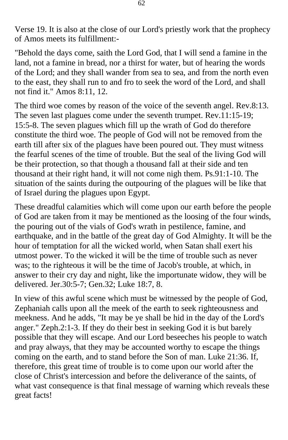Verse 19. It is also at the close of our Lord's priestly work that the prophecy of Amos meets its fulfillment:-

"Behold the days come, saith the Lord God, that I will send a famine in the land, not a famine in bread, nor a thirst for water, but of hearing the words of the Lord; and they shall wander from sea to sea, and from the north even to the east, they shall run to and fro to seek the word of the Lord, and shall not find it." Amos 8:11, 12.

The third woe comes by reason of the voice of the seventh angel. Rev.8:13. The seven last plagues come under the seventh trumpet. Rev.11:15-19; 15:5-8. The seven plagues which fill up the wrath of God do therefore constitute the third woe. The people of God will not be removed from the earth till after six of the plagues have been poured out. They must witness the fearful scenes of the time of trouble. But the seal of the living God will be their protection, so that though a thousand fall at their side and ten thousand at their right hand, it will not come nigh them. Ps.91:1-10. The situation of the saints during the outpouring of the plagues will be like that of Israel during the plagues upon Egypt.

These dreadful calamities which will come upon our earth before the people of God are taken from it may be mentioned as the loosing of the four winds, the pouring out of the vials of God's wrath in pestilence, famine, and earthquake, and in the battle of the great day of God Almighty. It will be the hour of temptation for all the wicked world, when Satan shall exert his utmost power. To the wicked it will be the time of trouble such as never was; to the righteous it will be the time of Jacob's trouble, at which, in answer to their cry day and night, like the importunate widow, they will be delivered. Jer.30:5-7; Gen.32; Luke 18:7, 8.

In view of this awful scene which must be witnessed by the people of God, Zephaniah calls upon all the meek of the earth to seek righteousness and meekness. And he adds, "It may be ye shall be hid in the day of the Lord's anger." Zeph.2:1-3. If they do their best in seeking God it is but barely possible that they will escape. And our Lord beseeches his people to watch and pray always, that they may be accounted worthy to escape the things coming on the earth, and to stand before the Son of man. Luke 21:36. If, therefore, this great time of trouble is to come upon our world after the close of Christ's intercession and before the deliverance of the saints, of what vast consequence is that final message of warning which reveals these great facts!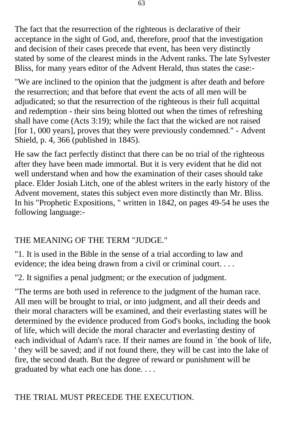The fact that the resurrection of the righteous is declarative of their acceptance in the sight of God, and, therefore, proof that the investigation and decision of their cases precede that event, has been very distinctly stated by some of the clearest minds in the Advent ranks. The late Sylvester Bliss, for many years editor of the Advent Herald, thus states the case:-

"We are inclined to the opinion that the judgment is after death and before the resurrection; and that before that event the acts of all men will be adjudicated; so that the resurrection of the righteous is their full acquittal and redemption - their sins being blotted out when the times of refreshing shall have come (Acts 3:19); while the fact that the wicked are not raised [for 1, 000 years], proves that they were previously condemned." - Advent Shield, p. 4, 366 (published in 1845).

He saw the fact perfectly distinct that there can be no trial of the righteous after they have been made immortal. But it is very evident that he did not well understand when and how the examination of their cases should take place. Elder Josiah Litch, one of the ablest writers in the early history of the Advent movement, states this subject even more distinctly than Mr. Bliss. In his "Prophetic Expositions, " written in 1842, on pages 49-54 he uses the following language:-

## THE MEANING OF THE TERM "JUDGE."

"1. It is used in the Bible in the sense of a trial according to law and evidence; the idea being drawn from a civil or criminal court. . . .

"2. It signifies a penal judgment; or the execution of judgment.

"The terms are both used in reference to the judgment of the human race. All men will be brought to trial, or into judgment, and all their deeds and their moral characters will be examined, and their everlasting states will be determined by the evidence produced from God's books, including the book of life, which will decide the moral character and everlasting destiny of each individual of Adam's race. If their names are found in `the book of life, ' they will be saved; and if not found there, they will be cast into the lake of fire, the second death. But the degree of reward or punishment will be graduated by what each one has done. . . .

## THE TRIAL MUST PRECEDE THE EXECUTION.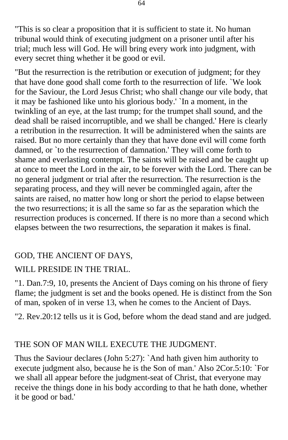"This is so clear a proposition that it is sufficient to state it. No human tribunal would think of executing judgment on a prisoner until after his trial; much less will God. He will bring every work into judgment, with every secret thing whether it be good or evil.

"But the resurrection is the retribution or execution of judgment; for they that have done good shall come forth to the resurrection of life. `We look for the Saviour, the Lord Jesus Christ; who shall change our vile body, that it may be fashioned like unto his glorious body.' `In a moment, in the twinkling of an eye, at the last trump; for the trumpet shall sound, and the dead shall be raised incorruptible, and we shall be changed.' Here is clearly a retribution in the resurrection. It will be administered when the saints are raised. But no more certainly than they that have done evil will come forth damned, or `to the resurrection of damnation.' They will come forth to shame and everlasting contempt. The saints will be raised and be caught up at once to meet the Lord in the air, to be forever with the Lord. There can be no general judgment or trial after the resurrection. The resurrection is the separating process, and they will never be commingled again, after the saints are raised, no matter how long or short the period to elapse between the two resurrections; it is all the same so far as the separation which the resurrection produces is concerned. If there is no more than a second which elapses between the two resurrections, the separation it makes is final.

## GOD, THE ANCIENT OF DAYS,

## WILL PRESIDE IN THE TRIAL.

"1. Dan.7:9, 10, presents the Ancient of Days coming on his throne of fiery flame; the judgment is set and the books opened. He is distinct from the Son of man, spoken of in verse 13, when he comes to the Ancient of Days.

"2. Rev.20:12 tells us it is God, before whom the dead stand and are judged.

#### THE SON OF MAN WILL EXECUTE THE JUDGMENT.

Thus the Saviour declares (John 5:27): `And hath given him authority to execute judgment also, because he is the Son of man.' Also 2Cor.5:10: `For we shall all appear before the judgment-seat of Christ, that everyone may receive the things done in his body according to that he hath done, whether it be good or bad.'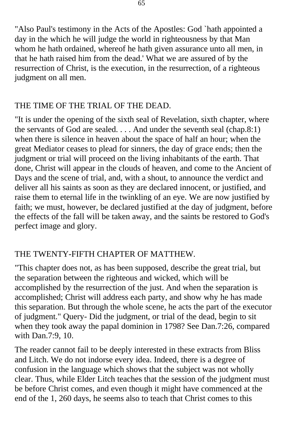"Also Paul's testimony in the Acts of the Apostles: God `hath appointed a day in the which he will judge the world in righteousness by that Man whom he hath ordained, whereof he hath given assurance unto all men, in that he hath raised him from the dead.' What we are assured of by the resurrection of Christ, is the execution, in the resurrection, of a righteous judgment on all men.

## THE TIME OF THE TRIAL OF THE DEAD.

"It is under the opening of the sixth seal of Revelation, sixth chapter, where the servants of God are sealed. . . . And under the seventh seal (chap.8:1) when there is silence in heaven about the space of half an hour; when the great Mediator ceases to plead for sinners, the day of grace ends; then the judgment or trial will proceed on the living inhabitants of the earth. That done, Christ will appear in the clouds of heaven, and come to the Ancient of Days and the scene of trial, and, with a shout, to announce the verdict and deliver all his saints as soon as they are declared innocent, or justified, and raise them to eternal life in the twinkling of an eye. We are now justified by faith; we must, however, be declared justified at the day of judgment, before the effects of the fall will be taken away, and the saints be restored to God's perfect image and glory.

## THE TWENTY-FIFTH CHAPTER OF MATTHEW.

"This chapter does not, as has been supposed, describe the great trial, but the separation between the righteous and wicked, which will be accomplished by the resurrection of the just. And when the separation is accomplished; Christ will address each party, and show why he has made this separation. But through the whole scene, he acts the part of the executor of judgment." Query- Did the judgment, or trial of the dead, begin to sit when they took away the papal dominion in 1798? See Dan.7:26, compared with Dan.7:9, 10.

The reader cannot fail to be deeply interested in these extracts from Bliss and Litch. We do not indorse every idea. Indeed, there is a degree of confusion in the language which shows that the subject was not wholly clear. Thus, while Elder Litch teaches that the session of the judgment must be before Christ comes, and even though it might have commenced at the end of the 1, 260 days, he seems also to teach that Christ comes to this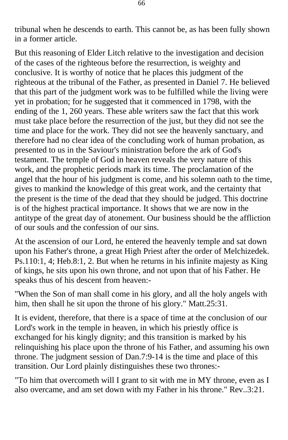tribunal when he descends to earth. This cannot be, as has been fully shown in a former article.

But this reasoning of Elder Litch relative to the investigation and decision of the cases of the righteous before the resurrection, is weighty and conclusive. It is worthy of notice that he places this judgment of the righteous at the tribunal of the Father, as presented in Daniel 7. He believed that this part of the judgment work was to be fulfilled while the living were yet in probation; for he suggested that it commenced in 1798, with the ending of the 1, 260 years. These able writers saw the fact that this work must take place before the resurrection of the just, but they did not see the time and place for the work. They did not see the heavenly sanctuary, and therefore had no clear idea of the concluding work of human probation, as presented to us in the Saviour's ministration before the ark of God's testament. The temple of God in heaven reveals the very nature of this work, and the prophetic periods mark its time. The proclamation of the angel that the hour of his judgment is come, and his solemn oath to the time, gives to mankind the knowledge of this great work, and the certainty that the present is the time of the dead that they should be judged. This doctrine is of the highest practical importance. It shows that we are now in the antitype of the great day of atonement. Our business should be the affliction of our souls and the confession of our sins.

At the ascension of our Lord, he entered the heavenly temple and sat down upon his Father's throne, a great High Priest after the order of Melchizedek. Ps.110:1, 4; Heb.8:1, 2. But when he returns in his infinite majesty as King of kings, he sits upon his own throne, and not upon that of his Father. He speaks thus of his descent from heaven:-

"When the Son of man shall come in his glory, and all the holy angels with him, then shall he sit upon the throne of his glory." Matt.25:31.

It is evident, therefore, that there is a space of time at the conclusion of our Lord's work in the temple in heaven, in which his priestly office is exchanged for his kingly dignity; and this transition is marked by his relinquishing his place upon the throne of his Father, and assuming his own throne. The judgment session of Dan.7:9-14 is the time and place of this transition. Our Lord plainly distinguishes these two thrones:-

"To him that overcometh will I grant to sit with me in MY throne, even as I also overcame, and am set down with my Father in his throne." Rev..3:21.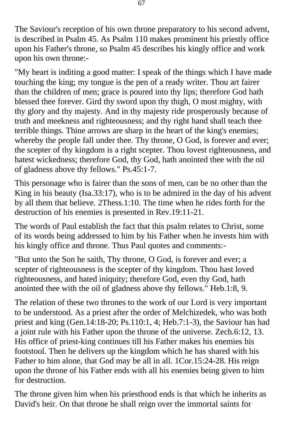The Saviour's reception of his own throne preparatory to his second advent, is described in Psalm 45. As Psalm 110 makes prominent his priestly office upon his Father's throne, so Psalm 45 describes his kingly office and work upon his own throne:-

"My heart is inditing a good matter: I speak of the things which I have made touching the king; my tongue is the pen of a ready writer. Thou art fairer than the children of men; grace is poured into thy lips; therefore God hath blessed thee forever. Gird thy sword upon thy thigh, O most mighty, with thy glory and thy majesty. And in thy majesty ride prosperously because of truth and meekness and righteousness; and thy right hand shall teach thee terrible things. Thine arrows are sharp in the heart of the king's enemies; whereby the people fall under thee. Thy throne, O God, is forever and ever; the scepter of thy kingdom is a right scepter. Thou lovest righteousness, and hatest wickedness; therefore God, thy God, hath anointed thee with the oil of gladness above thy fellows." Ps.45:1-7.

This personage who is fairer than the sons of men, can be no other than the King in his beauty (Isa.33:17), who is to be admired in the day of his advent by all them that believe. 2Thess.1:10. The time when he rides forth for the destruction of his enemies is presented in Rev.19:11-21.

The words of Paul establish the fact that this psalm relates to Christ, some of its words being addressed to him by his Father when he invests him with his kingly office and throne. Thus Paul quotes and comments:-

"But unto the Son he saith, Thy throne, O God, is forever and ever; a scepter of righteousness is the scepter of thy kingdom. Thou hast loved righteousness, and hated iniquity; therefore God, even thy God, hath anointed thee with the oil of gladness above thy fellows." Heb.1:8, 9.

The relation of these two thrones to the work of our Lord is very important to be understood. As a priest after the order of Melchizedek, who was both priest and king (Gen.14:18-20; Ps.110:1, 4; Heb.7:1-3), the Saviour has had a joint rule with his Father upon the throne of the universe. Zech.6:12, 13. His office of priest-king continues till his Father makes his enemies his footstool. Then he delivers up the kingdom which he has shared with his Father to him alone, that God may be all in all. 1Cor.15:24-28. His reign upon the throne of his Father ends with all his enemies being given to him for destruction.

The throne given him when his priesthood ends is that which he inherits as David's heir. On that throne he shall reign over the immortal saints for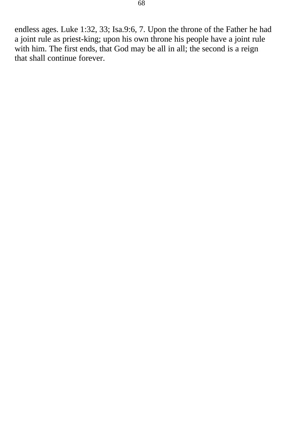endless ages. Luke 1:32, 33; Isa.9:6, 7. Upon the throne of the Father he had a joint rule as priest-king; upon his own throne his people have a joint rule with him. The first ends, that God may be all in all; the second is a reign that shall continue forever.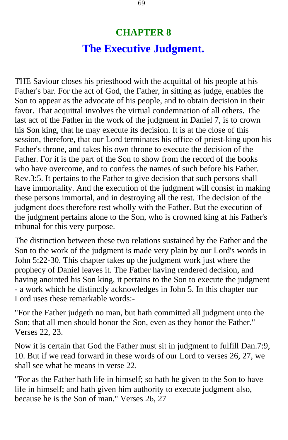# **CHAPTER 8 The Executive Judgment.**

THE Saviour closes his priesthood with the acquittal of his people at his Father's bar. For the act of God, the Father, in sitting as judge, enables the Son to appear as the advocate of his people, and to obtain decision in their favor. That acquittal involves the virtual condemnation of all others. The last act of the Father in the work of the judgment in Daniel 7, is to crown his Son king, that he may execute its decision. It is at the close of this session, therefore, that our Lord terminates his office of priest-king upon his Father's throne, and takes his own throne to execute the decision of the Father. For it is the part of the Son to show from the record of the books who have overcome, and to confess the names of such before his Father. Rev.3:5. It pertains to the Father to give decision that such persons shall have immortality. And the execution of the judgment will consist in making these persons immortal, and in destroying all the rest. The decision of the judgment does therefore rest wholly with the Father. But the execution of the judgment pertains alone to the Son, who is crowned king at his Father's tribunal for this very purpose.

The distinction between these two relations sustained by the Father and the Son to the work of the judgment is made very plain by our Lord's words in John 5:22-30. This chapter takes up the judgment work just where the prophecy of Daniel leaves it. The Father having rendered decision, and having anointed his Son king, it pertains to the Son to execute the judgment - a work which he distinctly acknowledges in John 5. In this chapter our Lord uses these remarkable words:-

"For the Father judgeth no man, but hath committed all judgment unto the Son; that all men should honor the Son, even as they honor the Father." Verses 22, 23.

Now it is certain that God the Father must sit in judgment to fulfill Dan.7:9, 10. But if we read forward in these words of our Lord to verses 26, 27, we shall see what he means in verse 22.

"For as the Father hath life in himself; so hath he given to the Son to have life in himself; and hath given him authority to execute judgment also, because he is the Son of man." Verses 26, 27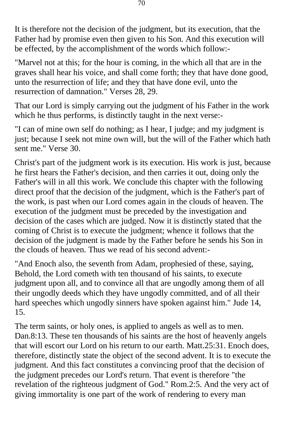It is therefore not the decision of the judgment, but its execution, that the Father had by promise even then given to his Son. And this execution will be effected, by the accomplishment of the words which follow:-

"Marvel not at this; for the hour is coming, in the which all that are in the graves shall hear his voice, and shall come forth; they that have done good, unto the resurrection of life; and they that have done evil, unto the resurrection of damnation." Verses 28, 29.

That our Lord is simply carrying out the judgment of his Father in the work which he thus performs, is distinctly taught in the next verse:-

"I can of mine own self do nothing; as I hear, I judge; and my judgment is just; because I seek not mine own will, but the will of the Father which hath sent me." Verse 30.

Christ's part of the judgment work is its execution. His work is just, because he first hears the Father's decision, and then carries it out, doing only the Father's will in all this work. We conclude this chapter with the following direct proof that the decision of the judgment, which is the Father's part of the work, is past when our Lord comes again in the clouds of heaven. The execution of the judgment must be preceded by the investigation and decision of the cases which are judged. Now it is distinctly stated that the coming of Christ is to execute the judgment; whence it follows that the decision of the judgment is made by the Father before he sends his Son in the clouds of heaven. Thus we read of his second advent:-

"And Enoch also, the seventh from Adam, prophesied of these, saying, Behold, the Lord cometh with ten thousand of his saints, to execute judgment upon all, and to convince all that are ungodly among them of all their ungodly deeds which they have ungodly committed, and of all their hard speeches which ungodly sinners have spoken against him." Jude 14, 15.

The term saints, or holy ones, is applied to angels as well as to men. Dan.8:13. These ten thousands of his saints are the host of heavenly angels that will escort our Lord on his return to our earth. Matt.25:31. Enoch does, therefore, distinctly state the object of the second advent. It is to execute the judgment. And this fact constitutes a convincing proof that the decision of the judgment precedes our Lord's return. That event is therefore "the revelation of the righteous judgment of God." Rom.2:5. And the very act of giving immortality is one part of the work of rendering to every man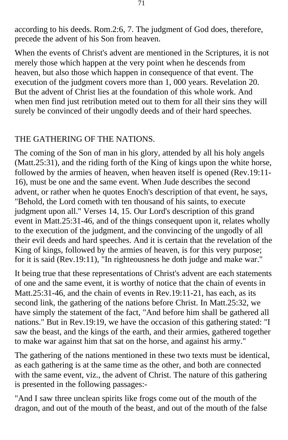according to his deeds. Rom.2:6, 7. The judgment of God does, therefore, precede the advent of his Son from heaven.

When the events of Christ's advent are mentioned in the Scriptures, it is not merely those which happen at the very point when he descends from heaven, but also those which happen in consequence of that event. The execution of the judgment covers more than 1, 000 years. Revelation 20. But the advent of Christ lies at the foundation of this whole work. And when men find just retribution meted out to them for all their sins they will surely be convinced of their ungodly deeds and of their hard speeches.

#### THE GATHERING OF THE NATIONS.

The coming of the Son of man in his glory, attended by all his holy angels (Matt.25:31), and the riding forth of the King of kings upon the white horse, followed by the armies of heaven, when heaven itself is opened (Rev.19:11- 16), must be one and the same event. When Jude describes the second advent, or rather when he quotes Enoch's description of that event, he says, "Behold, the Lord cometh with ten thousand of his saints, to execute judgment upon all." Verses 14, 15. Our Lord's description of this grand event in Matt.25:31-46, and of the things consequent upon it, relates wholly to the execution of the judgment, and the convincing of the ungodly of all their evil deeds and hard speeches. And it is certain that the revelation of the King of kings, followed by the armies of heaven, is for this very purpose; for it is said (Rev.19:11), "In righteousness he doth judge and make war."

It being true that these representations of Christ's advent are each statements of one and the same event, it is worthy of notice that the chain of events in Matt.25:31-46, and the chain of events in Rev.19:11-21, has each, as its second link, the gathering of the nations before Christ. In Matt.25:32, we have simply the statement of the fact, "And before him shall be gathered all nations." But in Rev.19:19, we have the occasion of this gathering stated: "I saw the beast, and the kings of the earth, and their armies, gathered together to make war against him that sat on the horse, and against his army."

The gathering of the nations mentioned in these two texts must be identical, as each gathering is at the same time as the other, and both are connected with the same event, viz., the advent of Christ. The nature of this gathering is presented in the following passages:-

"And I saw three unclean spirits like frogs come out of the mouth of the dragon, and out of the mouth of the beast, and out of the mouth of the false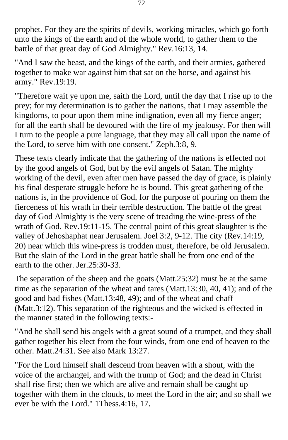prophet. For they are the spirits of devils, working miracles, which go forth unto the kings of the earth and of the whole world, to gather them to the battle of that great day of God Almighty." Rev.16:13, 14.

"And I saw the beast, and the kings of the earth, and their armies, gathered together to make war against him that sat on the horse, and against his army." Rev.19:19.

"Therefore wait ye upon me, saith the Lord, until the day that I rise up to the prey; for my determination is to gather the nations, that I may assemble the kingdoms, to pour upon them mine indignation, even all my fierce anger; for all the earth shall be devoured with the fire of my jealousy. For then will I turn to the people a pure language, that they may all call upon the name of the Lord, to serve him with one consent." Zeph.3:8, 9.

These texts clearly indicate that the gathering of the nations is effected not by the good angels of God, but by the evil angels of Satan. The mighty working of the devil, even after men have passed the day of grace, is plainly his final desperate struggle before he is bound. This great gathering of the nations is, in the providence of God, for the purpose of pouring on them the fierceness of his wrath in their terrible destruction. The battle of the great day of God Almighty is the very scene of treading the wine-press of the wrath of God. Rev.19:11-15. The central point of this great slaughter is the valley of Jehoshaphat near Jerusalem. Joel 3:2, 9-12. The city (Rev.14:19, 20) near which this wine-press is trodden must, therefore, be old Jerusalem. But the slain of the Lord in the great battle shall be from one end of the earth to the other. Jer.25:30-33.

The separation of the sheep and the goats (Matt.25:32) must be at the same time as the separation of the wheat and tares (Matt.13:30, 40, 41); and of the good and bad fishes (Matt.13:48, 49); and of the wheat and chaff (Matt.3:12). This separation of the righteous and the wicked is effected in the manner stated in the following texts:-

"And he shall send his angels with a great sound of a trumpet, and they shall gather together his elect from the four winds, from one end of heaven to the other. Matt.24:31. See also Mark 13:27.

"For the Lord himself shall descend from heaven with a shout, with the voice of the archangel, and with the trump of God; and the dead in Christ shall rise first; then we which are alive and remain shall be caught up together with them in the clouds, to meet the Lord in the air; and so shall we ever be with the Lord." 1Thess.4:16, 17.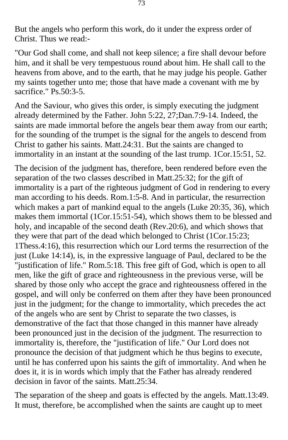But the angels who perform this work, do it under the express order of Christ. Thus we read:-

"Our God shall come, and shall not keep silence; a fire shall devour before him, and it shall be very tempestuous round about him. He shall call to the heavens from above, and to the earth, that he may judge his people. Gather my saints together unto me; those that have made a covenant with me by sacrifice." Ps.50:3-5.

And the Saviour, who gives this order, is simply executing the judgment already determined by the Father. John 5:22, 27;Dan.7:9-14. Indeed, the saints are made immortal before the angels bear them away from our earth; for the sounding of the trumpet is the signal for the angels to descend from Christ to gather his saints. Matt.24:31. But the saints are changed to immortality in an instant at the sounding of the last trump. 1Cor.15:51, 52.

The decision of the judgment has, therefore, been rendered before even the separation of the two classes described in Matt.25:32; for the gift of immortality is a part of the righteous judgment of God in rendering to every man according to his deeds. Rom.1:5-8. And in particular, the resurrection which makes a part of mankind equal to the angels (Luke 20:35, 36), which makes them immortal (1Cor.15:51-54), which shows them to be blessed and holy, and incapable of the second death (Rev.20:6), and which shows that they were that part of the dead which belonged to Christ (1Cor.15:23; 1Thess.4:16), this resurrection which our Lord terms the resurrection of the just (Luke 14:14), is, in the expressive language of Paul, declared to be the "justification of life." Rom.5:18. This free gift of God, which is open to all men, like the gift of grace and righteousness in the previous verse, will be shared by those only who accept the grace and righteousness offered in the gospel, and will only be conferred on them after they have been pronounced just in the judgment; for the change to immortality, which precedes the act of the angels who are sent by Christ to separate the two classes, is demonstrative of the fact that those changed in this manner have already been pronounced just in the decision of the judgment. The resurrection to immortality is, therefore, the "justification of life." Our Lord does not pronounce the decision of that judgment which he thus begins to execute, until he has conferred upon his saints the gift of immortality. And when he does it, it is in words which imply that the Father has already rendered decision in favor of the saints. Matt.25:34.

The separation of the sheep and goats is effected by the angels. Matt.13:49. It must, therefore, be accomplished when the saints are caught up to meet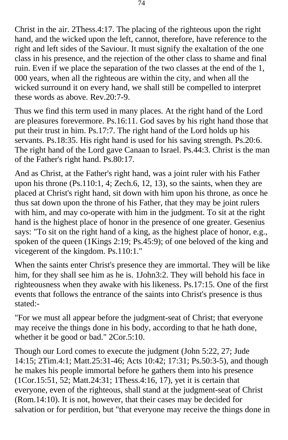Christ in the air. 2Thess.4:17. The placing of the righteous upon the right hand, and the wicked upon the left, cannot, therefore, have reference to the right and left sides of the Saviour. It must signify the exaltation of the one class in his presence, and the rejection of the other class to shame and final ruin. Even if we place the separation of the two classes at the end of the 1, 000 years, when all the righteous are within the city, and when all the wicked surround it on every hand, we shall still be compelled to interpret these words as above. Rev.20:7-9.

Thus we find this term used in many places. At the right hand of the Lord are pleasures forevermore. Ps.16:11. God saves by his right hand those that put their trust in him. Ps.17:7. The right hand of the Lord holds up his servants. Ps.18:35. His right hand is used for his saving strength. Ps.20:6. The right hand of the Lord gave Canaan to Israel. Ps.44:3. Christ is the man of the Father's right hand. Ps.80:17.

And as Christ, at the Father's right hand, was a joint ruler with his Father upon his throne (Ps.110:1, 4; Zech.6, 12, 13), so the saints, when they are placed at Christ's right hand, sit down with him upon his throne, as once he thus sat down upon the throne of his Father, that they may be joint rulers with him, and may co-operate with him in the judgment. To sit at the right hand is the highest place of honor in the presence of one greater. Gesenius says: "To sit on the right hand of a king, as the highest place of honor, e.g., spoken of the queen (1Kings 2:19; Ps.45:9); of one beloved of the king and vicegerent of the kingdom. Ps.110:1."

When the saints enter Christ's presence they are immortal. They will be like him, for they shall see him as he is. 1John3:2. They will behold his face in righteousness when they awake with his likeness. Ps.17:15. One of the first events that follows the entrance of the saints into Christ's presence is thus stated:-

"For we must all appear before the judgment-seat of Christ; that everyone may receive the things done in his body, according to that he hath done, whether it be good or bad." 2Cor.5:10.

Though our Lord comes to execute the judgment (John 5:22, 27; Jude 14:15; 2Tim.4:1; Matt.25:31-46; Acts 10:42; 17:31; Ps.50:3-5), and though he makes his people immortal before he gathers them into his presence (1Cor.15:51, 52; Matt.24:31; 1Thess.4:16, 17), yet it is certain that everyone, even of the righteous, shall stand at the judgment-seat of Christ (Rom.14:10). It is not, however, that their cases may be decided for salvation or for perdition, but "that everyone may receive the things done in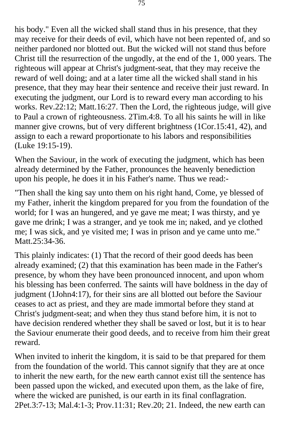his body." Even all the wicked shall stand thus in his presence, that they may receive for their deeds of evil, which have not been repented of, and so neither pardoned nor blotted out. But the wicked will not stand thus before Christ till the resurrection of the ungodly, at the end of the 1, 000 years. The righteous will appear at Christ's judgment-seat, that they may receive the reward of well doing; and at a later time all the wicked shall stand in his presence, that they may hear their sentence and receive their just reward. In executing the judgment, our Lord is to reward every man according to his works. Rev.22:12; Matt.16:27. Then the Lord, the righteous judge, will give to Paul a crown of righteousness. 2Tim.4:8. To all his saints he will in like manner give crowns, but of very different brightness (1Cor.15:41, 42), and assign to each a reward proportionate to his labors and responsibilities (Luke 19:15-19).

When the Saviour, in the work of executing the judgment, which has been already determined by the Father, pronounces the heavenly benediction upon his people, he does it in his Father's name. Thus we read:-

"Then shall the king say unto them on his right hand, Come, ye blessed of my Father, inherit the kingdom prepared for you from the foundation of the world; for I was an hungered, and ye gave me meat; I was thirsty, and ye gave me drink; I was a stranger, and ye took me in; naked, and ye clothed me; I was sick, and ye visited me; I was in prison and ye came unto me." Matt.25:34-36.

This plainly indicates: (1) That the record of their good deeds has been already examined; (2) that this examination has been made in the Father's presence, by whom they have been pronounced innocent, and upon whom his blessing has been conferred. The saints will have boldness in the day of judgment (1John4:17), for their sins are all blotted out before the Saviour ceases to act as priest, and they are made immortal before they stand at Christ's judgment-seat; and when they thus stand before him, it is not to have decision rendered whether they shall be saved or lost, but it is to hear the Saviour enumerate their good deeds, and to receive from him their great reward.

When invited to inherit the kingdom, it is said to be that prepared for them from the foundation of the world. This cannot signify that they are at once to inherit the new earth, for the new earth cannot exist till the sentence has been passed upon the wicked, and executed upon them, as the lake of fire, where the wicked are punished, is our earth in its final conflagration. 2Pet.3:7-13; Mal.4:1-3; Prov.11:31; Rev.20; 21. Indeed, the new earth can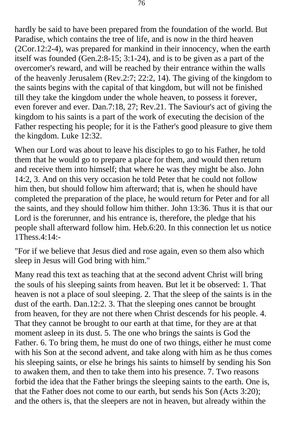hardly be said to have been prepared from the foundation of the world. But Paradise, which contains the tree of life, and is now in the third heaven (2Cor.12:2-4), was prepared for mankind in their innocency, when the earth itself was founded (Gen.2:8-15; 3:1-24), and is to be given as a part of the overcomer's reward, and will be reached by their entrance within the walls of the heavenly Jerusalem (Rev.2:7; 22:2, 14). The giving of the kingdom to the saints begins with the capital of that kingdom, but will not be finished till they take the kingdom under the whole heaven, to possess it forever, even forever and ever. Dan.7:18, 27; Rev.21. The Saviour's act of giving the kingdom to his saints is a part of the work of executing the decision of the Father respecting his people; for it is the Father's good pleasure to give them the kingdom. Luke 12:32.

When our Lord was about to leave his disciples to go to his Father, he told them that he would go to prepare a place for them, and would then return and receive them into himself; that where he was they might be also. John 14:2, 3. And on this very occasion he told Peter that he could not follow him then, but should follow him afterward; that is, when he should have completed the preparation of the place, he would return for Peter and for all the saints, and they should follow him thither. John 13:36. Thus it is that our Lord is the forerunner, and his entrance is, therefore, the pledge that his people shall afterward follow him. Heb.6:20. In this connection let us notice 1Thess.4:14:-

"For if we believe that Jesus died and rose again, even so them also which sleep in Jesus will God bring with him."

Many read this text as teaching that at the second advent Christ will bring the souls of his sleeping saints from heaven. But let it be observed: 1. That heaven is not a place of soul sleeping. 2. That the sleep of the saints is in the dust of the earth. Dan.12:2. 3. That the sleeping ones cannot be brought from heaven, for they are not there when Christ descends for his people. 4. That they cannot be brought to our earth at that time, for they are at that moment asleep in its dust. 5. The one who brings the saints is God the Father. 6. To bring them, he must do one of two things, either he must come with his Son at the second advent, and take along with him as he thus comes his sleeping saints, or else he brings his saints to himself by sending his Son to awaken them, and then to take them into his presence. 7. Two reasons forbid the idea that the Father brings the sleeping saints to the earth. One is, that the Father does not come to our earth, but sends his Son (Acts 3:20); and the others is, that the sleepers are not in heaven, but already within the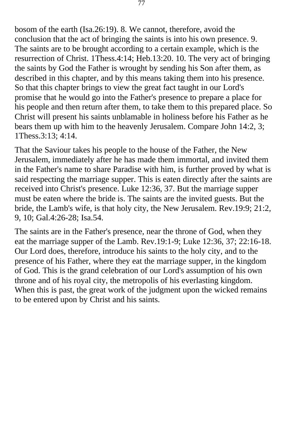bosom of the earth (Isa.26:19). 8. We cannot, therefore, avoid the conclusion that the act of bringing the saints is into his own presence. 9. The saints are to be brought according to a certain example, which is the resurrection of Christ. 1Thess.4:14; Heb.13:20. 10. The very act of bringing the saints by God the Father is wrought by sending his Son after them, as described in this chapter, and by this means taking them into his presence. So that this chapter brings to view the great fact taught in our Lord's promise that he would go into the Father's presence to prepare a place for his people and then return after them, to take them to this prepared place. So Christ will present his saints unblamable in holiness before his Father as he bears them up with him to the heavenly Jerusalem. Compare John 14:2, 3; 1Thess.3:13; 4:14.

That the Saviour takes his people to the house of the Father, the New Jerusalem, immediately after he has made them immortal, and invited them in the Father's name to share Paradise with him, is further proved by what is said respecting the marriage supper. This is eaten directly after the saints are received into Christ's presence. Luke 12:36, 37. But the marriage supper must be eaten where the bride is. The saints are the invited guests. But the bride, the Lamb's wife, is that holy city, the New Jerusalem. Rev.19:9; 21:2, 9, 10; Gal.4:26-28; Isa.54.

The saints are in the Father's presence, near the throne of God, when they eat the marriage supper of the Lamb. Rev.19:1-9; Luke 12:36, 37; 22:16-18. Our Lord does, therefore, introduce his saints to the holy city, and to the presence of his Father, where they eat the marriage supper, in the kingdom of God. This is the grand celebration of our Lord's assumption of his own throne and of his royal city, the metropolis of his everlasting kingdom. When this is past, the great work of the judgment upon the wicked remains to be entered upon by Christ and his saints.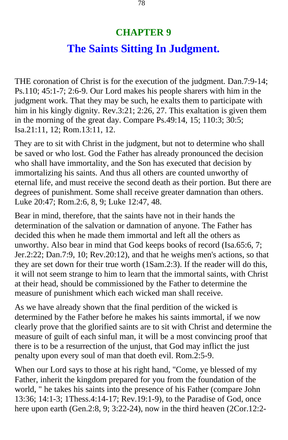## **CHAPTER 9 The Saints Sitting In Judgment.**

THE coronation of Christ is for the execution of the judgment. Dan.7:9-14; Ps.110; 45:1-7; 2:6-9. Our Lord makes his people sharers with him in the judgment work. That they may be such, he exalts them to participate with him in his kingly dignity. Rev.3:21; 2:26, 27. This exaltation is given them in the morning of the great day. Compare Ps.49:14, 15; 110:3; 30:5; Isa.21:11, 12; Rom.13:11, 12.

They are to sit with Christ in the judgment, but not to determine who shall be saved or who lost. God the Father has already pronounced the decision who shall have immortality, and the Son has executed that decision by immortalizing his saints. And thus all others are counted unworthy of eternal life, and must receive the second death as their portion. But there are degrees of punishment. Some shall receive greater damnation than others. Luke 20:47; Rom.2:6, 8, 9; Luke 12:47, 48.

Bear in mind, therefore, that the saints have not in their hands the determination of the salvation or damnation of anyone. The Father has decided this when he made them immortal and left all the others as unworthy. Also bear in mind that God keeps books of record (Isa.65:6, 7; Jer.2:22; Dan.7:9, 10; Rev.20:12), and that he weighs men's actions, so that they are set down for their true worth (1Sam.2:3). If the reader will do this, it will not seem strange to him to learn that the immortal saints, with Christ at their head, should be commissioned by the Father to determine the measure of punishment which each wicked man shall receive.

As we have already shown that the final perdition of the wicked is determined by the Father before he makes his saints immortal, if we now clearly prove that the glorified saints are to sit with Christ and determine the measure of guilt of each sinful man, it will be a most convincing proof that there is to be a resurrection of the unjust, that God may inflict the just penalty upon every soul of man that doeth evil. Rom.2:5-9.

When our Lord says to those at his right hand, "Come, ye blessed of my Father, inherit the kingdom prepared for you from the foundation of the world, " he takes his saints into the presence of his Father (compare John 13:36; 14:1-3; 1Thess.4:14-17; Rev.19:1-9), to the Paradise of God, once here upon earth (Gen.2:8, 9; 3:22-24), now in the third heaven (2Cor.12:2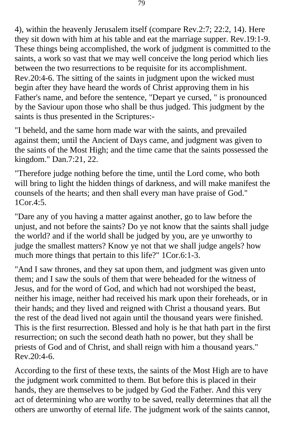4), within the heavenly Jerusalem itself (compare Rev.2:7; 22:2, 14). Here they sit down with him at his table and eat the marriage supper. Rev.19:1-9. These things being accomplished, the work of judgment is committed to the saints, a work so vast that we may well conceive the long period which lies between the two resurrections to be requisite for its accomplishment. Rev.20:4-6. The sitting of the saints in judgment upon the wicked must begin after they have heard the words of Christ approving them in his Father's name, and before the sentence, "Depart ye cursed, " is pronounced by the Saviour upon those who shall be thus judged. This judgment by the saints is thus presented in the Scriptures:-

"I beheld, and the same horn made war with the saints, and prevailed against them; until the Ancient of Days came, and judgment was given to the saints of the Most High; and the time came that the saints possessed the kingdom." Dan.7:21, 22.

"Therefore judge nothing before the time, until the Lord come, who both will bring to light the hidden things of darkness, and will make manifest the counsels of the hearts; and then shall every man have praise of God."  $1$ Cor. 4:5.

"Dare any of you having a matter against another, go to law before the unjust, and not before the saints? Do ye not know that the saints shall judge the world? and if the world shall be judged by you, are ye unworthy to judge the smallest matters? Know ye not that we shall judge angels? how much more things that pertain to this life?" 1Cor.6:1-3.

"And I saw thrones, and they sat upon them, and judgment was given unto them; and I saw the souls of them that were beheaded for the witness of Jesus, and for the word of God, and which had not worshiped the beast, neither his image, neither had received his mark upon their foreheads, or in their hands; and they lived and reigned with Christ a thousand years. But the rest of the dead lived not again until the thousand years were finished. This is the first resurrection. Blessed and holy is he that hath part in the first resurrection; on such the second death hath no power, but they shall be priests of God and of Christ, and shall reign with him a thousand years." Rev.20:4-6.

According to the first of these texts, the saints of the Most High are to have the judgment work committed to them. But before this is placed in their hands, they are themselves to be judged by God the Father. And this very act of determining who are worthy to be saved, really determines that all the others are unworthy of eternal life. The judgment work of the saints cannot,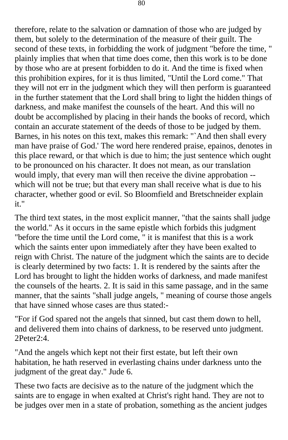therefore, relate to the salvation or damnation of those who are judged by them, but solely to the determination of the measure of their guilt. The second of these texts, in forbidding the work of judgment "before the time, " plainly implies that when that time does come, then this work is to be done by those who are at present forbidden to do it. And the time is fixed when this prohibition expires, for it is thus limited, "Until the Lord come." That they will not err in the judgment which they will then perform is guaranteed in the further statement that the Lord shall bring to light the hidden things of darkness, and make manifest the counsels of the heart. And this will no doubt be accomplished by placing in their hands the books of record, which contain an accurate statement of the deeds of those to be judged by them. Barnes, in his notes on this text, makes this remark: "`And then shall every man have praise of God.' The word here rendered praise, epainos, denotes in this place reward, or that which is due to him; the just sentence which ought to be pronounced on his character. It does not mean, as our translation would imply, that every man will then receive the divine approbation which will not be true; but that every man shall receive what is due to his character, whether good or evil. So Bloomfield and Bretschneider explain it."

The third text states, in the most explicit manner, "that the saints shall judge the world." As it occurs in the same epistle which forbids this judgment "before the time until the Lord come, " it is manifest that this is a work which the saints enter upon immediately after they have been exalted to reign with Christ. The nature of the judgment which the saints are to decide is clearly determined by two facts: 1. It is rendered by the saints after the Lord has brought to light the hidden works of darkness, and made manifest the counsels of the hearts. 2. It is said in this same passage, and in the same manner, that the saints "shall judge angels, " meaning of course those angels that have sinned whose cases are thus stated:-

"For if God spared not the angels that sinned, but cast them down to hell, and delivered them into chains of darkness, to be reserved unto judgment. 2Peter2:4.

"And the angels which kept not their first estate, but left their own habitation, he hath reserved in everlasting chains under darkness unto the judgment of the great day." Jude 6.

These two facts are decisive as to the nature of the judgment which the saints are to engage in when exalted at Christ's right hand. They are not to be judges over men in a state of probation, something as the ancient judges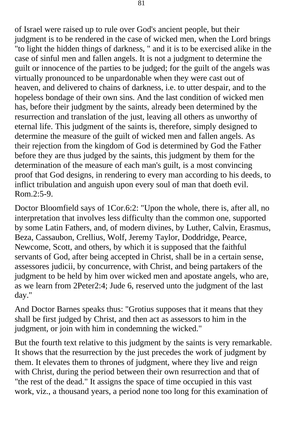of Israel were raised up to rule over God's ancient people, but their judgment is to be rendered in the case of wicked men, when the Lord brings "to light the hidden things of darkness, " and it is to be exercised alike in the case of sinful men and fallen angels. It is not a judgment to determine the guilt or innocence of the parties to be judged; for the guilt of the angels was virtually pronounced to be unpardonable when they were cast out of heaven, and delivered to chains of darkness, i.e. to utter despair, and to the hopeless bondage of their own sins. And the last condition of wicked men has, before their judgment by the saints, already been determined by the resurrection and translation of the just, leaving all others as unworthy of eternal life. This judgment of the saints is, therefore, simply designed to determine the measure of the guilt of wicked men and fallen angels. As their rejection from the kingdom of God is determined by God the Father before they are thus judged by the saints, this judgment by them for the determination of the measure of each man's guilt, is a most convincing proof that God designs, in rendering to every man according to his deeds, to inflict tribulation and anguish upon every soul of man that doeth evil. Rom.2:5-9.

Doctor Bloomfield says of 1Cor.6:2: "Upon the whole, there is, after all, no interpretation that involves less difficulty than the common one, supported by some Latin Fathers, and, of modern divines, by Luther, Calvin, Erasmus, Beza, Cassaubon, Crellius, Wolf, Jeremy Taylor, Doddridge, Pearce, Newcome, Scott, and others, by which it is supposed that the faithful servants of God, after being accepted in Christ, shall be in a certain sense, assessores judicii, by concurrence, with Christ, and being partakers of the judgment to be held by him over wicked men and apostate angels, who are, as we learn from 2Peter2:4; Jude 6, reserved unto the judgment of the last day."

And Doctor Barnes speaks thus: "Grotius supposes that it means that they shall be first judged by Christ, and then act as assessors to him in the judgment, or join with him in condemning the wicked."

But the fourth text relative to this judgment by the saints is very remarkable. It shows that the resurrection by the just precedes the work of judgment by them. It elevates them to thrones of judgment, where they live and reign with Christ, during the period between their own resurrection and that of "the rest of the dead." It assigns the space of time occupied in this vast work, viz., a thousand years, a period none too long for this examination of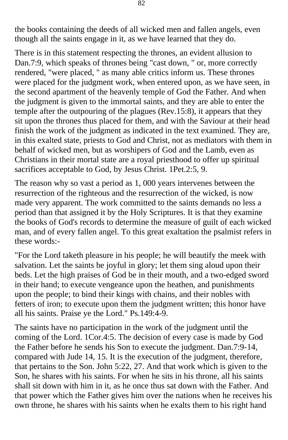the books containing the deeds of all wicked men and fallen angels, even though all the saints engage in it, as we have learned that they do.

There is in this statement respecting the thrones, an evident allusion to Dan.7:9, which speaks of thrones being "cast down, " or, more correctly rendered, "were placed, " as many able critics inform us. These thrones were placed for the judgment work, when entered upon, as we have seen, in the second apartment of the heavenly temple of God the Father. And when the judgment is given to the immortal saints, and they are able to enter the temple after the outpouring of the plagues (Rev.15:8), it appears that they sit upon the thrones thus placed for them, and with the Saviour at their head finish the work of the judgment as indicated in the text examined. They are, in this exalted state, priests to God and Christ, not as mediators with them in behalf of wicked men, but as worshipers of God and the Lamb, even as Christians in their mortal state are a royal priesthood to offer up spiritual sacrifices acceptable to God, by Jesus Christ. 1Pet.2:5, 9.

The reason why so vast a period as 1, 000 years intervenes between the resurrection of the righteous and the resurrection of the wicked, is now made very apparent. The work committed to the saints demands no less a period than that assigned it by the Holy Scriptures. It is that they examine the books of God's records to determine the measure of guilt of each wicked man, and of every fallen angel. To this great exaltation the psalmist refers in these words:-

"For the Lord taketh pleasure in his people; he will beautify the meek with salvation. Let the saints be joyful in glory; let them sing aloud upon their beds. Let the high praises of God be in their mouth, and a two-edged sword in their hand; to execute vengeance upon the heathen, and punishments upon the people; to bind their kings with chains, and their nobles with fetters of iron; to execute upon them the judgment written; this honor have all his saints. Praise ye the Lord." Ps.149:4-9.

The saints have no participation in the work of the judgment until the coming of the Lord. 1Cor.4:5. The decision of every case is made by God the Father before he sends his Son to execute the judgment. Dan.7:9-14, compared with Jude 14, 15. It is the execution of the judgment, therefore, that pertains to the Son. John 5:22, 27. And that work which is given to the Son, he shares with his saints. For when he sits in his throne, all his saints shall sit down with him in it, as he once thus sat down with the Father. And that power which the Father gives him over the nations when he receives his own throne, he shares with his saints when he exalts them to his right hand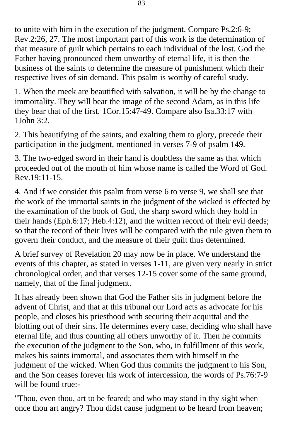to unite with him in the execution of the judgment. Compare Ps.2:6-9; Rev.2:26, 27. The most important part of this work is the determination of that measure of guilt which pertains to each individual of the lost. God the Father having pronounced them unworthy of eternal life, it is then the business of the saints to determine the measure of punishment which their respective lives of sin demand. This psalm is worthy of careful study.

1. When the meek are beautified with salvation, it will be by the change to immortality. They will bear the image of the second Adam, as in this life they bear that of the first. 1Cor.15:47-49. Compare also Isa.33:17 with 1John 3:2.

2. This beautifying of the saints, and exalting them to glory, precede their participation in the judgment, mentioned in verses 7-9 of psalm 149.

3. The two-edged sword in their hand is doubtless the same as that which proceeded out of the mouth of him whose name is called the Word of God. Rev.19:11-15.

4. And if we consider this psalm from verse 6 to verse 9, we shall see that the work of the immortal saints in the judgment of the wicked is effected by the examination of the book of God, the sharp sword which they hold in their hands (Eph.6:17; Heb.4:12), and the written record of their evil deeds; so that the record of their lives will be compared with the rule given them to govern their conduct, and the measure of their guilt thus determined.

A brief survey of Revelation 20 may now be in place. We understand the events of this chapter, as stated in verses 1-11, are given very nearly in strict chronological order, and that verses 12-15 cover some of the same ground, namely, that of the final judgment.

It has already been shown that God the Father sits in judgment before the advent of Christ, and that at this tribunal our Lord acts as advocate for his people, and closes his priesthood with securing their acquittal and the blotting out of their sins. He determines every case, deciding who shall have eternal life, and thus counting all others unworthy of it. Then he commits the execution of the judgment to the Son, who, in fulfillment of this work, makes his saints immortal, and associates them with himself in the judgment of the wicked. When God thus commits the judgment to his Son, and the Son ceases forever his work of intercession, the words of Ps.76:7-9 will be found true:-

"Thou, even thou, art to be feared; and who may stand in thy sight when once thou art angry? Thou didst cause judgment to be heard from heaven;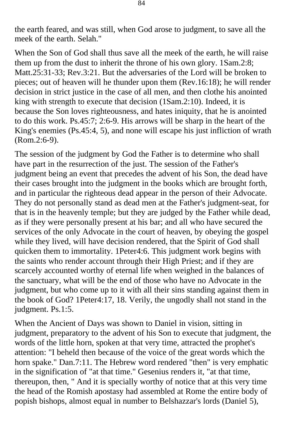the earth feared, and was still, when God arose to judgment, to save all the meek of the earth. Selah."

When the Son of God shall thus save all the meek of the earth, he will raise them up from the dust to inherit the throne of his own glory. 1Sam.2:8; Matt.25:31-33; Rev.3:21. But the adversaries of the Lord will be broken to pieces; out of heaven will he thunder upon them (Rev.16:18); he will render decision in strict justice in the case of all men, and then clothe his anointed king with strength to execute that decision (1Sam.2:10). Indeed, it is because the Son loves righteousness, and hates iniquity, that he is anointed to do this work. Ps.45:7; 2:6-9. His arrows will be sharp in the heart of the King's enemies (Ps.45:4, 5), and none will escape his just infliction of wrath (Rom.2:6-9).

The session of the judgment by God the Father is to determine who shall have part in the resurrection of the just. The session of the Father's judgment being an event that precedes the advent of his Son, the dead have their cases brought into the judgment in the books which are brought forth, and in particular the righteous dead appear in the person of their Advocate. They do not personally stand as dead men at the Father's judgment-seat, for that is in the heavenly temple; but they are judged by the Father while dead, as if they were personally present at his bar; and all who have secured the services of the only Advocate in the court of heaven, by obeying the gospel while they lived, will have decision rendered, that the Spirit of God shall quicken them to immortality. 1Peter4:6. This judgment work begins with the saints who render account through their High Priest; and if they are scarcely accounted worthy of eternal life when weighed in the balances of the sanctuary, what will be the end of those who have no Advocate in the judgment, but who come up to it with all their sins standing against them in the book of God? 1Peter4:17, 18. Verily, the ungodly shall not stand in the judgment. Ps.1:5.

When the Ancient of Days was shown to Daniel in vision, sitting in judgment, preparatory to the advent of his Son to execute that judgment, the words of the little horn, spoken at that very time, attracted the prophet's attention: "I beheld then because of the voice of the great words which the horn spake." Dan.7:11. The Hebrew word rendered "then" is very emphatic in the signification of "at that time." Gesenius renders it, "at that time, thereupon, then, " And it is specially worthy of notice that at this very time the head of the Romish apostasy had assembled at Rome the entire body of popish bishops, almost equal in number to Belshazzar's lords (Daniel 5),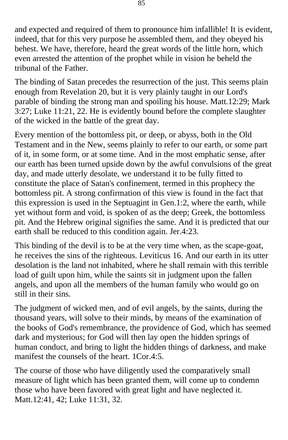and expected and required of them to pronounce him infallible! It is evident, indeed, that for this very purpose he assembled them, and they obeyed his behest. We have, therefore, heard the great words of the little horn, which even arrested the attention of the prophet while in vision he beheld the tribunal of the Father.

The binding of Satan precedes the resurrection of the just. This seems plain enough from Revelation 20, but it is very plainly taught in our Lord's parable of binding the strong man and spoiling his house. Matt.12:29; Mark 3:27; Luke 11:21, 22. He is evidently bound before the complete slaughter of the wicked in the battle of the great day.

Every mention of the bottomless pit, or deep, or abyss, both in the Old Testament and in the New, seems plainly to refer to our earth, or some part of it, in some form, or at some time. And in the most emphatic sense, after our earth has been turned upside down by the awful convulsions of the great day, and made utterly desolate, we understand it to be fully fitted to constitute the place of Satan's confinement, termed in this prophecy the bottomless pit. A strong confirmation of this view is found in the fact that this expression is used in the Septuagint in Gen.1:2, where the earth, while yet without form and void, is spoken of as the deep; Greek, the bottomless pit. And the Hebrew original signifies the same. And it is predicted that our earth shall be reduced to this condition again. Jer.4:23.

This binding of the devil is to be at the very time when, as the scape-goat, he receives the sins of the righteous. Leviticus 16. And our earth in its utter desolation is the land not inhabited, where he shall remain with this terrible load of guilt upon him, while the saints sit in judgment upon the fallen angels, and upon all the members of the human family who would go on still in their sins.

The judgment of wicked men, and of evil angels, by the saints, during the thousand years, will solve to their minds, by means of the examination of the books of God's remembrance, the providence of God, which has seemed dark and mysterious; for God will then lay open the hidden springs of human conduct, and bring to light the hidden things of darkness, and make manifest the counsels of the heart. 1Cor.4:5.

The course of those who have diligently used the comparatively small measure of light which has been granted them, will come up to condemn those who have been favored with great light and have neglected it. Matt.12:41, 42; Luke 11:31, 32.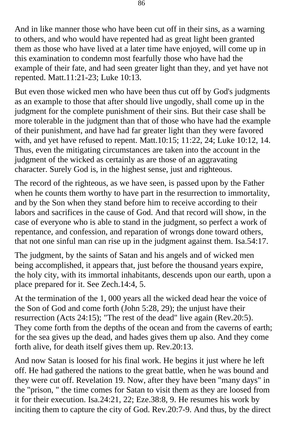And in like manner those who have been cut off in their sins, as a warning to others, and who would have repented had as great light been granted them as those who have lived at a later time have enjoyed, will come up in this examination to condemn most fearfully those who have had the example of their fate, and had seen greater light than they, and yet have not repented. Matt.11:21-23; Luke 10:13.

But even those wicked men who have been thus cut off by God's judgments as an example to those that after should live ungodly, shall come up in the judgment for the complete punishment of their sins. But their case shall be more tolerable in the judgment than that of those who have had the example of their punishment, and have had far greater light than they were favored with, and yet have refused to repent. Matt.10:15; 11:22, 24; Luke 10:12, 14. Thus, even the mitigating circumstances are taken into the account in the judgment of the wicked as certainly as are those of an aggravating character. Surely God is, in the highest sense, just and righteous.

The record of the righteous, as we have seen, is passed upon by the Father when he counts them worthy to have part in the resurrection to immortality, and by the Son when they stand before him to receive according to their labors and sacrifices in the cause of God. And that record will show, in the case of everyone who is able to stand in the judgment, so perfect a work of repentance, and confession, and reparation of wrongs done toward others, that not one sinful man can rise up in the judgment against them. Isa.54:17.

The judgment, by the saints of Satan and his angels and of wicked men being accomplished, it appears that, just before the thousand years expire, the holy city, with its immortal inhabitants, descends upon our earth, upon a place prepared for it. See Zech.14:4, 5.

At the termination of the 1, 000 years all the wicked dead hear the voice of the Son of God and come forth (John 5:28, 29); the unjust have their resurrection (Acts 24:15); "The rest of the dead" live again (Rev.20:5). They come forth from the depths of the ocean and from the caverns of earth; for the sea gives up the dead, and hades gives them up also. And they come forth alive, for death itself gives them up. Rev.20:13.

And now Satan is loosed for his final work. He begins it just where he left off. He had gathered the nations to the great battle, when he was bound and they were cut off. Revelation 19. Now, after they have been "many days" in the "prison, " the time comes for Satan to visit them as they are loosed from it for their execution. Isa.24:21, 22; Eze.38:8, 9. He resumes his work by inciting them to capture the city of God. Rev.20:7-9. And thus, by the direct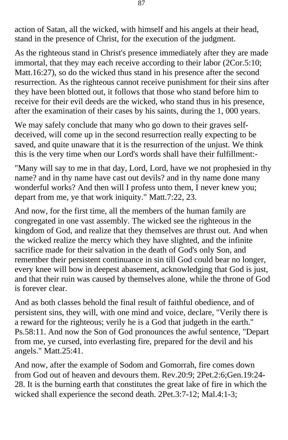action of Satan, all the wicked, with himself and his angels at their head, stand in the presence of Christ, for the execution of the judgment.

As the righteous stand in Christ's presence immediately after they are made immortal, that they may each receive according to their labor (2Cor.5:10; Matt.16:27), so do the wicked thus stand in his presence after the second resurrection. As the righteous cannot receive punishment for their sins after they have been blotted out, it follows that those who stand before him to receive for their evil deeds are the wicked, who stand thus in his presence, after the examination of their cases by his saints, during the 1, 000 years.

We may safely conclude that many who go down to their graves selfdeceived, will come up in the second resurrection really expecting to be saved, and quite unaware that it is the resurrection of the unjust. We think this is the very time when our Lord's words shall have their fulfillment:-

"Many will say to me in that day, Lord, Lord, have we not prophesied in thy name? and in thy name have cast out devils? and in thy name done many wonderful works? And then will I profess unto them, I never knew you; depart from me, ye that work iniquity." Matt.7:22, 23.

And now, for the first time, all the members of the human family are congregated in one vast assembly. The wicked see the righteous in the kingdom of God, and realize that they themselves are thrust out. And when the wicked realize the mercy which they have slighted, and the infinite sacrifice made for their salvation in the death of God's only Son, and remember their persistent continuance in sin till God could bear no longer, every knee will bow in deepest abasement, acknowledging that God is just, and that their ruin was caused by themselves alone, while the throne of God is forever clear.

And as both classes behold the final result of faithful obedience, and of persistent sins, they will, with one mind and voice, declare, "Verily there is a reward for the righteous; verily he is a God that judgeth in the earth." Ps.58:11. And now the Son of God pronounces the awful sentence, "Depart from me, ye cursed, into everlasting fire, prepared for the devil and his angels." Matt.25:41.

And now, after the example of Sodom and Gomorrah, fire comes down from God out of heaven and devours them. Rev.20:9; 2Pet.2:6;Gen.19:24- 28. It is the burning earth that constitutes the great lake of fire in which the wicked shall experience the second death. 2Pet.3:7-12; Mal.4:1-3;